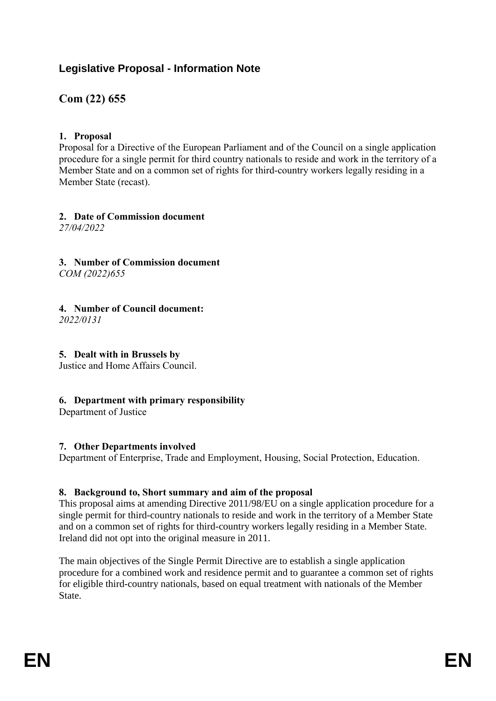# **Legislative Proposal - Information Note**

# **Com (22) 655**

## **1. Proposal**

Proposal for a Directive of the European Parliament and of the Council on a single application procedure for a single permit for third country nationals to reside and work in the territory of a Member State and on a common set of rights for third-country workers legally residing in a Member State (recast).

**2. Date of Commission document** *27/04/2022*

**3. Number of Commission document** *COM (2022)655*

## **4. Number of Council document:**

*2022/0131*

## **5. Dealt with in Brussels by**

Justice and Home Affairs Council.

## **6. Department with primary responsibility**

Department of Justice

## **7. Other Departments involved**

Department of Enterprise, Trade and Employment, Housing, Social Protection, Education.

## **8. Background to, Short summary and aim of the proposal**

This proposal aims at amending Directive 2011/98/EU on a single application procedure for a single permit for third-country nationals to reside and work in the territory of a Member State and on a common set of rights for third-country workers legally residing in a Member State. Ireland did not opt into the original measure in 2011.

The main objectives of the Single Permit Directive are to establish a single application procedure for a combined work and residence permit and to guarantee a common set of rights for eligible third-country nationals, based on equal treatment with nationals of the Member State.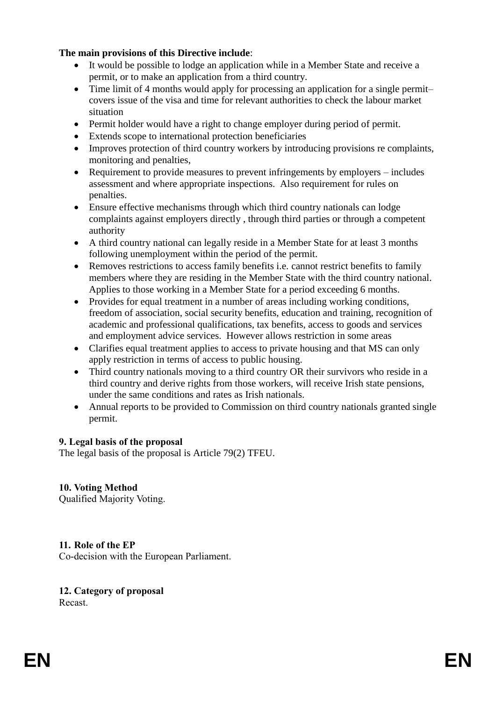### **The main provisions of this Directive include**:

- It would be possible to lodge an application while in a Member State and receive a permit, or to make an application from a third country.
- Time limit of 4 months would apply for processing an application for a single permitcovers issue of the visa and time for relevant authorities to check the labour market situation
- Permit holder would have a right to change employer during period of permit.
- Extends scope to international protection beneficiaries
- Improves protection of third country workers by introducing provisions re complaints, monitoring and penalties,
- Requirement to provide measures to prevent infringements by employers includes assessment and where appropriate inspections. Also requirement for rules on penalties.
- Ensure effective mechanisms through which third country nationals can lodge complaints against employers directly , through third parties or through a competent authority
- A third country national can legally reside in a Member State for at least 3 months following unemployment within the period of the permit.
- Removes restrictions to access family benefits i.e. cannot restrict benefits to family members where they are residing in the Member State with the third country national. Applies to those working in a Member State for a period exceeding 6 months.
- Provides for equal treatment in a number of areas including working conditions, freedom of association, social security benefits, education and training, recognition of academic and professional qualifications, tax benefits, access to goods and services and employment advice services. However allows restriction in some areas
- Clarifies equal treatment applies to access to private housing and that MS can only apply restriction in terms of access to public housing.
- Third country nationals moving to a third country OR their survivors who reside in a third country and derive rights from those workers, will receive Irish state pensions, under the same conditions and rates as Irish nationals.
- Annual reports to be provided to Commission on third country nationals granted single permit.

## **9. Legal basis of the proposal**

The legal basis of the proposal is Article 79(2) TFEU.

**10. Voting Method** Qualified Majority Voting.

## **11. Role of the EP**

Co-decision with the European Parliament.

# **12. Category of proposal**

Recast.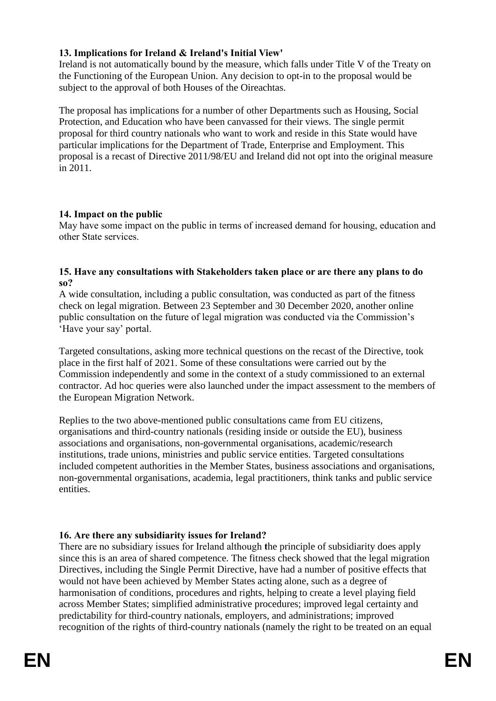## **13. Implications for Ireland & Ireland's Initial View'**

Ireland is not automatically bound by the measure, which falls under Title V of the Treaty on the Functioning of the European Union. Any decision to opt-in to the proposal would be subject to the approval of both Houses of the Oireachtas.

The proposal has implications for a number of other Departments such as Housing, Social Protection, and Education who have been canvassed for their views. The single permit proposal for third country nationals who want to work and reside in this State would have particular implications for the Department of Trade, Enterprise and Employment. This proposal is a recast of Directive 2011/98/EU and Ireland did not opt into the original measure in 2011.

## **14. Impact on the public**

May have some impact on the public in terms of increased demand for housing, education and other State services.

#### **15. Have any consultations with Stakeholders taken place or are there any plans to do so?**

A wide consultation, including a public consultation, was conducted as part of the fitness check on legal migration. Between 23 September and 30 December 2020, another online public consultation on the future of legal migration was conducted via the Commission's 'Have your say' portal.

Targeted consultations, asking more technical questions on the recast of the Directive, took place in the first half of 2021. Some of these consultations were carried out by the Commission independently and some in the context of a study commissioned to an external contractor. Ad hoc queries were also launched under the impact assessment to the members of the European Migration Network.

Replies to the two above-mentioned public consultations came from EU citizens, organisations and third-country nationals (residing inside or outside the EU), business associations and organisations, non-governmental organisations, academic/research institutions, trade unions, ministries and public service entities. Targeted consultations included competent authorities in the Member States, business associations and organisations, non-governmental organisations, academia, legal practitioners, think tanks and public service entities.

## **16. Are there any subsidiarity issues for Ireland?**

There are no subsidiary issues for Ireland although **t**he principle of subsidiarity does apply since this is an area of shared competence. The fitness check showed that the legal migration Directives, including the Single Permit Directive, have had a number of positive effects that would not have been achieved by Member States acting alone, such as a degree of harmonisation of conditions, procedures and rights, helping to create a level playing field across Member States; simplified administrative procedures; improved legal certainty and predictability for third-country nationals, employers, and administrations; improved recognition of the rights of third-country nationals (namely the right to be treated on an equal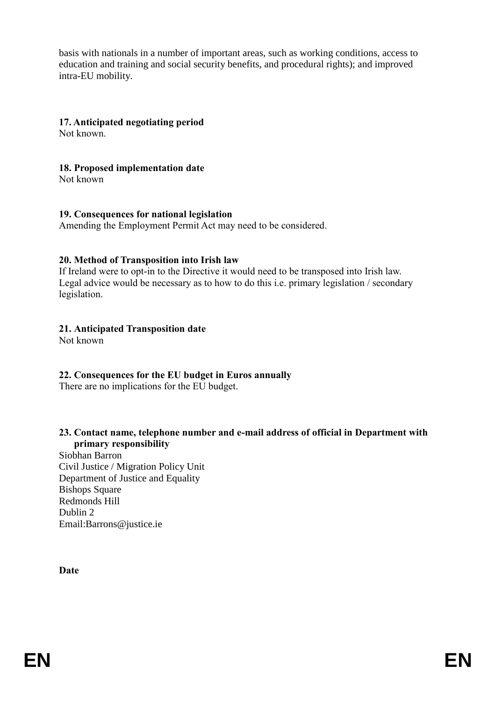basis with nationals in a number of important areas, such as working conditions, access to education and training and social security benefits, and procedural rights); and improved intra-EU mobility.

### **17. Anticipated negotiating period**

Not known.

#### **18. Proposed implementation date**

Not known

#### **19. Consequences for national legislation**

Amending the Employment Permit Act may need to be considered.

### **20. Method of Transposition into Irish law**

If Ireland were to opt-in to the Directive it would need to be transposed into Irish law. Legal advice would be necessary as to how to do this i.e. primary legislation / secondary legislation.

### **21. Anticipated Transposition date**

Not known

## **22. Consequences for the EU budget in Euros annually**

There are no implications for the EU budget.

### **23. Contact name, telephone number and e-mail address of official in Department with primary responsibility**

Siobhan Barron Civil Justice / Migration Policy Unit Department of Justice and Equality Bishops Square Redmonds Hill Dublin 2 Email:Barrons@justice.ie

**Date**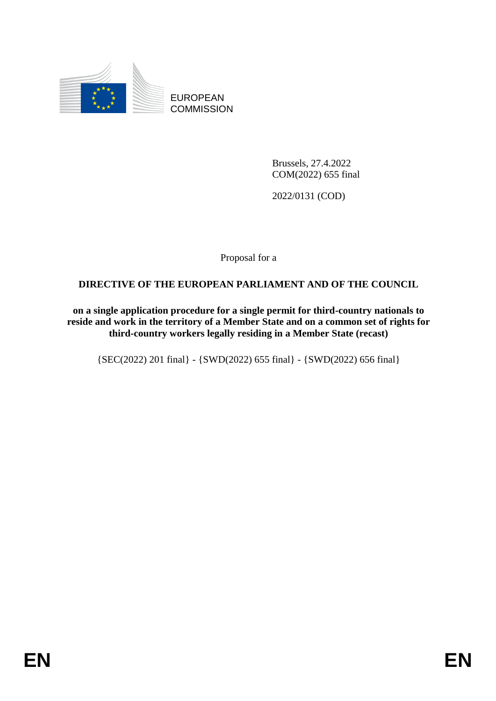

EUROPEAN **COMMISSION** 

> Brussels, 27.4.2022 COM(2022) 655 final

2022/0131 (COD)

Proposal for a

## **DIRECTIVE OF THE EUROPEAN PARLIAMENT AND OF THE COUNCIL**

**on a single application procedure for a single permit for third-country nationals to reside and work in the territory of a Member State and on a common set of rights for third-country workers legally residing in a Member State (recast)**

{SEC(2022) 201 final} - {SWD(2022) 655 final} - {SWD(2022) 656 final}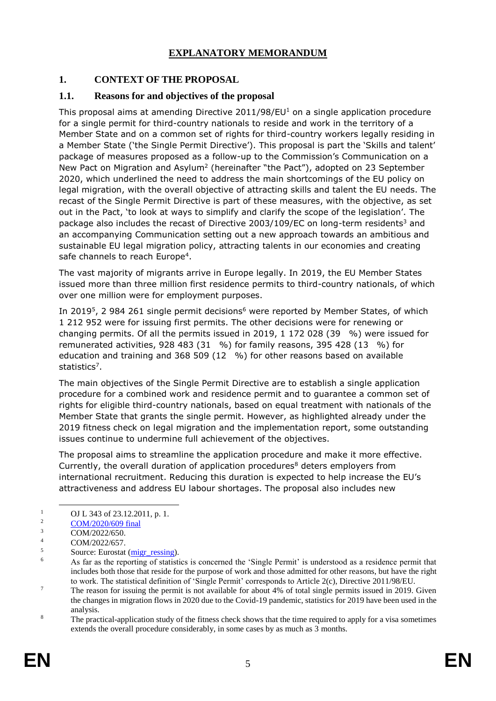## **EXPLANATORY MEMORANDUM**

## **1. CONTEXT OF THE PROPOSAL**

### **1.1. Reasons for and objectives of the proposal**

This proposal aims at amending Directive  $2011/98/EU<sup>1</sup>$  on a single application procedure for a single permit for third-country nationals to reside and work in the territory of a Member State and on a common set of rights for third-country workers legally residing in a Member State ('the Single Permit Directive'). This proposal is part the 'Skills and talent' package of measures proposed as a follow-up to the Commission's Communication on a New Pact on Migration and Asylum<sup>2</sup> (hereinafter "the Pact"), adopted on 23 September 2020, which underlined the need to address the main shortcomings of the EU policy on legal migration, with the overall objective of attracting skills and talent the EU needs. The recast of the Single Permit Directive is part of these measures, with the objective, as set out in the Pact, 'to look at ways to simplify and clarify the scope of the legislation'. The package also includes the recast of Directive 2003/109/EC on long-term residents<sup>3</sup> and an accompanying Communication setting out a new approach towards an ambitious and sustainable EU legal migration policy, attracting talents in our economies and creating safe channels to reach Europe<sup>4</sup>.

The vast majority of migrants arrive in Europe legally. In 2019, the EU Member States issued more than three million first residence permits to third-country nationals, of which over one million were for employment purposes.

In 2019<sup>5</sup>, 2 984 261 single permit decisions<sup>6</sup> were reported by Member States, of which 1 212 952 were for issuing first permits. The other decisions were for renewing or changing permits. Of all the permits issued in 2019, 1 172 028 (39 %) were issued for remunerated activities, 928 483 (31 %) for family reasons, 395 428 (13 %) for education and training and 368 509 (12 %) for other reasons based on available statistics<sup>7</sup>.

The main objectives of the Single Permit Directive are to establish a single application procedure for a combined work and residence permit and to guarantee a common set of rights for eligible third-country nationals, based on equal treatment with nationals of the Member State that grants the single permit. However, as highlighted already under the 2019 [fitness check on legal migration](https://ec.europa.eu/home-affairs/sites/homeaffairs/files/e-library/documents/policies/legal-migration/swd_2019-1055-staff-working-part1.pdf) and the [implementation report,](https://eur-lex.europa.eu/legal-content/EN/TXT/PDF/?uri=CELEX:52019DC0160&from=EN) some outstanding issues continue to undermine full achievement of the objectives.

The proposal aims to streamline the application procedure and make it more effective. Currently, the overall duration of application procedures $8$  deters employers from international recruitment. Reducing this duration is expected to help increase the EU's attractiveness and address EU labour shortages. The proposal also includes new

-

<sup>&</sup>lt;sup>1</sup> OJ L 343 of 23.12.2011, p. 1.<br>
<sup>2</sup> COM/2020/600 final

<sup>&</sup>lt;sup>2</sup> [COM/2020/609 final](https://eur-lex.europa.eu/legal-content/EN/TXT/?qid=1601287338054&uri=COM%3A2020%3A609%3AFIN)

 $\frac{3}{4}$  COM/2022/650.

 $\frac{4}{5}$  COM/2022/657.

 $5$  Source: Eurostat ( $\frac{migr\}$  ressing).

<sup>6</sup> As far as the reporting of statistics is concerned the 'Single Permit' is understood as a residence permit that includes both those that reside for the purpose of work and those admitted for other reasons, but have the right to work. The statistical definition of 'Single Permit' corresponds to Article 2(c), Directive 2011/98/EU.

<sup>&</sup>lt;sup>7</sup> The reason for issuing the permit is not available for about 4% of total single permits issued in 2019. Given the changes in migration flows in 2020 due to the Covid-19 pandemic, statistics for 2019 have been used in the analysis.

<sup>&</sup>lt;sup>8</sup> The practical-application study of the fitness check shows that the time required to apply for a visa sometimes extends the overall procedure considerably, in some cases by as much as 3 months.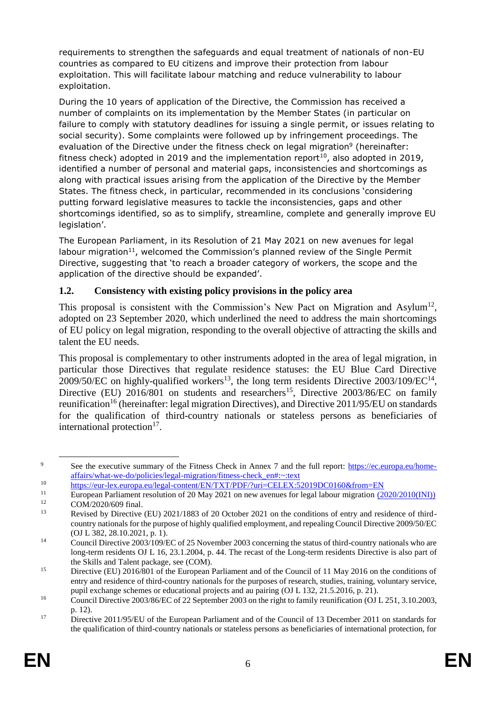requirements to strengthen the safeguards and equal treatment of nationals of non-EU countries as compared to EU citizens and improve their protection from labour exploitation. This will facilitate labour matching and reduce vulnerability to labour exploitation.

During the 10 years of application of the Directive, the Commission has received a number of complaints on its implementation by the Member States (in particular on failure to comply with statutory deadlines for issuing a single permit, or issues relating to social security). Some complaints were followed up by infringement proceedings. The evaluation of the Directive under the fitness check on legal migration<sup>9</sup> (hereinafter: fitness check) adopted in 2019 and the implementation report<sup>10</sup>, also adopted in 2019, identified a number of personal and material gaps, inconsistencies and shortcomings as along with practical issues arising from the application of the Directive by the Member States. The fitness check, in particular, recommended in its conclusions 'considering putting forward legislative measures to tackle the inconsistencies, gaps and other shortcomings identified, so as to simplify, streamline, complete and generally improve EU legislation'.

The European Parliament, in its Resolution of 21 May 2021 on new avenues for legal labour migration<sup>11</sup>, welcomed the Commission's planned review of the Single Permit Directive, suggesting that 'to reach a broader category of workers, the scope and the application of the directive should be expanded'.

## **1.2. Consistency with existing policy provisions in the policy area**

This proposal is consistent with the Commission's New Pact on Migration and Asylum<sup>12</sup>, adopted on 23 September 2020, which underlined the need to address the main shortcomings of EU policy on legal migration, responding to the overall objective of attracting the skills and talent the EU needs.

This proposal is complementary to other instruments adopted in the area of legal migration, in particular those Directives that regulate residence statuses: the EU Blue Card Directive 2009/50/EC on highly-qualified workers<sup>13</sup>, the long term residents Directive 2003/109/EC<sup>14</sup>, Directive (EU)  $2016/801$  on students and researchers<sup>15</sup>, Directive  $2003/86/EC$  on family reunification<sup>16</sup> (hereinafter: legal migration Directives), and Directive 2011/95/EU on standards for the qualification of third-country nationals or stateless persons as beneficiaries of international protection<sup>17</sup>.

<sup>9</sup> See the executive summary of the Fitness Check in Annex 7 and the full report: [https://ec.europa.eu/home](https://ec.europa.eu/home-affairs/what-we-do/policies/legal-migration/fitness-check_en#:~:text)[affairs/what-we-do/policies/legal-migration/fitness-check\\_en#:~:text](https://ec.europa.eu/home-affairs/what-we-do/policies/legal-migration/fitness-check_en#:~:text)

<sup>10</sup> <https://eur-lex.europa.eu/legal-content/EN/TXT/PDF/?uri=CELEX:52019DC0160&from=EN><br>11 European Perliament recelution of 20 May 2021 on new systeme for legal labour migration (20

<sup>&</sup>lt;sup>11</sup> European Parliament resolution of  $\overline{20 \text{ May } 2021}$  on new avenues for legal labour migration  $\overline{(2020/2010(\text{INI}))}$  $12$  COM/2020/609 final.

Revised by Directive (EU) 2021/1883 of 20 October 2021 on the conditions of entry and residence of thirdcountry nationals for the purpose of highly qualified employment, and repealing Council Directive 2009/50/EC (OJ L 382, 28.10.2021, p. 1).

<sup>&</sup>lt;sup>14</sup> Council Directive 2003/109/EC of 25 November 2003 concerning the status of third-country nationals who are long-term residents OJ L 16, 23.1.2004, p. 44. The recast of the Long-term residents Directive is also part of the Skills and Talent package, see (COM).

<sup>&</sup>lt;sup>15</sup> Directive (EU) 2016/801 of the European Parliament and of the Council of 11 May 2016 on the conditions of entry and residence of third-country nationals for the purposes of research, studies, training, voluntary service, pupil exchange schemes or educational projects and au pairing (OJ L 132, 21.5.2016, p. 21).

<sup>&</sup>lt;sup>16</sup> Council Directive 2003/86/EC of 22 September 2003 on the right to family reunification (OJ L 251, 3.10.2003, p. 12).

<sup>&</sup>lt;sup>17</sup> Directive 2011/95/EU of the European Parliament and of the Council of 13 December 2011 on standards for the qualification of third-country nationals or stateless persons as beneficiaries of international protection, for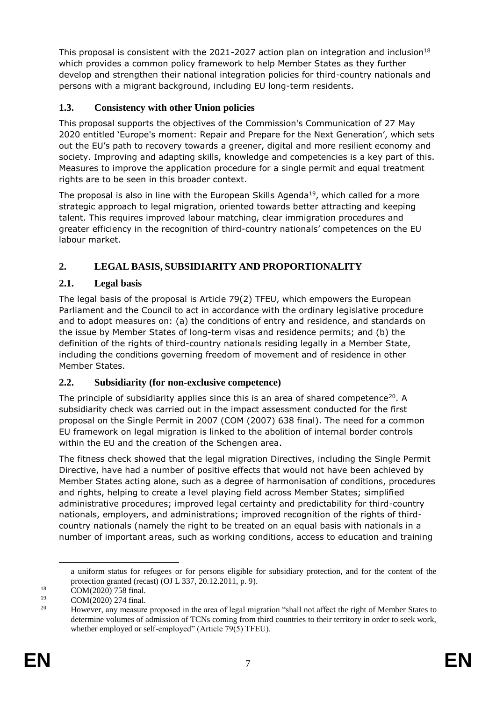This proposal is consistent with the 2021-2027 action plan on integration and inclusion<sup>18</sup> which provides a common policy framework to help Member States as they further develop and strengthen their national integration policies for third-country nationals and persons with a migrant background, including EU long-term residents.

## **1.3. Consistency with other Union policies**

This proposal supports the objectives of the Commission's Communication of 27 May 2020 entitled 'Europe's moment: Repair and Prepare for the Next Generation', which sets out the EU's path to recovery towards a greener, digital and more resilient economy and society. Improving and adapting skills, knowledge and competencies is a key part of this. Measures to improve the application procedure for a single permit and equal treatment rights are to be seen in this broader context.

The proposal is also in line with the European Skills Agenda<sup>19</sup>, which called for a more strategic approach to legal migration, oriented towards better attracting and keeping talent. This requires improved labour matching, clear immigration procedures and greater efficiency in the recognition of third-country nationals' competences on the EU labour market.

## **2. LEGAL BASIS, SUBSIDIARITY AND PROPORTIONALITY**

## **2.1. Legal basis**

The legal basis of the proposal is Article 79(2) TFEU, which empowers the European Parliament and the Council to act in accordance with the ordinary legislative procedure and to adopt measures on: (a) the conditions of entry and residence, and standards on the issue by Member States of long-term visas and residence permits; and (b) the definition of the rights of third-country nationals residing legally in a Member State, including the conditions governing freedom of movement and of residence in other Member States.

## **2.2. Subsidiarity (for non-exclusive competence)**

The principle of subsidiarity applies since this is an area of shared competence<sup>20</sup>. A subsidiarity check was carried out in the impact assessment conducted for the first proposal on the Single Permit in 2007 (COM (2007) 638 final). The need for a common EU framework on legal migration is linked to the abolition of internal border controls within the EU and the creation of the Schengen area.

The fitness check showed that the legal migration Directives, including the Single Permit Directive, have had a number of positive effects that would not have been achieved by Member States acting alone, such as a degree of harmonisation of conditions, procedures and rights, helping to create a level playing field across Member States; simplified administrative procedures; improved legal certainty and predictability for third-country nationals, employers, and administrations; improved recognition of the rights of thirdcountry nationals (namely the right to be treated on an equal basis with nationals in a number of important areas, such as working conditions, access to education and training

-

a uniform status for refugees or for persons eligible for subsidiary protection, and for the content of the protection granted (recast) (OJ L 337, 20.12.2011, p. 9).

<sup>&</sup>lt;sup>18</sup> COM(2020) 758 final.

 $19$  COM(2020) 274 final.

<sup>20</sup> However, any measure proposed in the area of legal migration "shall not affect the right of Member States to determine volumes of admission of TCNs coming from third countries to their territory in order to seek work, whether employed or self-employed" (Article 79(5) TFEU).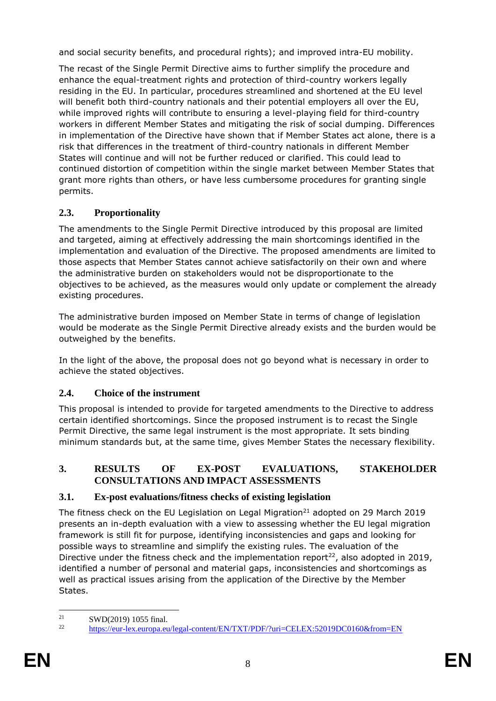and social security benefits, and procedural rights); and improved intra-EU mobility.

The recast of the Single Permit Directive aims to further simplify the procedure and enhance the equal-treatment rights and protection of third-country workers legally residing in the EU. In particular, procedures streamlined and shortened at the EU level will benefit both third-country nationals and their potential employers all over the EU, while improved rights will contribute to ensuring a level-playing field for third-country workers in different Member States and mitigating the risk of social dumping. Differences in implementation of the Directive have shown that if Member States act alone, there is a risk that differences in the treatment of third-country nationals in different Member States will continue and will not be further reduced or clarified. This could lead to continued distortion of competition within the single market between Member States that grant more rights than others, or have less cumbersome procedures for granting single permits.

# **2.3. Proportionality**

The amendments to the Single Permit Directive introduced by this proposal are limited and targeted, aiming at effectively addressing the main shortcomings identified in the implementation and evaluation of the Directive. The proposed amendments are limited to those aspects that Member States cannot achieve satisfactorily on their own and where the administrative burden on stakeholders would not be disproportionate to the objectives to be achieved, as the measures would only update or complement the already existing procedures.

The administrative burden imposed on Member State in terms of change of legislation would be moderate as the Single Permit Directive already exists and the burden would be outweighed by the benefits.

In the light of the above, the proposal does not go beyond what is necessary in order to achieve the stated objectives.

## **2.4. Choice of the instrument**

This proposal is intended to provide for targeted amendments to the Directive to address certain identified shortcomings. Since the proposed instrument is to recast the Single Permit Directive, the same legal instrument is the most appropriate. It sets binding minimum standards but, at the same time, gives Member States the necessary flexibility.

## **3. RESULTS OF EX-POST EVALUATIONS, STAKEHOLDER CONSULTATIONS AND IMPACT ASSESSMENTS**

## **3.1. Ex-post evaluations/fitness checks of existing legislation**

The fitness check on the EU Legislation on Legal Migration<sup>21</sup> adopted on 29 March 2019 presents an in-depth evaluation with a view to assessing whether the EU legal migration framework is still fit for purpose, identifying inconsistencies and gaps and looking for possible ways to streamline and simplify the existing rules. The evaluation of the Directive under the fitness check and the implementation report<sup>22</sup>, also adopted in 2019, identified a number of personal and material gaps, inconsistencies and shortcomings as well as practical issues arising from the application of the Directive by the Member States.

 $21$ <sup>21</sup> SWD(2019) 1055 final.

<sup>22</sup> <https://eur-lex.europa.eu/legal-content/EN/TXT/PDF/?uri=CELEX:52019DC0160&from=EN>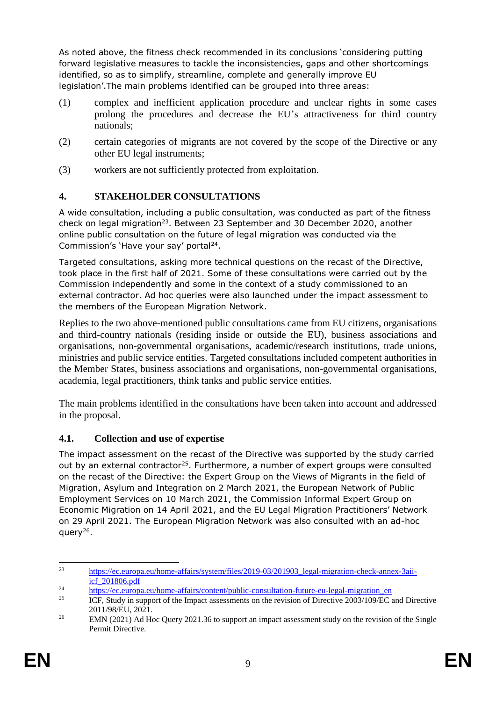As noted above, the fitness check recommended in its conclusions 'considering putting forward legislative measures to tackle the inconsistencies, gaps and other shortcomings identified, so as to simplify, streamline, complete and generally improve EU legislation'.The main problems identified can be grouped into three areas:

- (1) complex and inefficient application procedure and unclear rights in some cases prolong the procedures and decrease the EU's attractiveness for third country nationals;
- (2) certain categories of migrants are not covered by the scope of the Directive or any other EU legal instruments;
- (3) workers are not sufficiently protected from exploitation.

## **4. STAKEHOLDER CONSULTATIONS**

A wide consultation, including a public consultation, was conducted as part of the fitness check on legal migration<sup>23</sup>. Between 23 September and 30 December 2020, another online public consultation on the future of legal migration was conducted via the Commission's 'Have your say' portal<sup>24</sup>.

Targeted consultations, asking more technical questions on the recast of the Directive, took place in the first half of 2021. Some of these consultations were carried out by the Commission independently and some in the context of a study commissioned to an external contractor. Ad hoc queries were also launched under the impact assessment to the members of the European Migration Network.

Replies to the two above-mentioned public consultations came from EU citizens, organisations and third-country nationals (residing inside or outside the EU), business associations and organisations, non-governmental organisations, academic/research institutions, trade unions, ministries and public service entities. Targeted consultations included competent authorities in the Member States, business associations and organisations, non-governmental organisations, academia, legal practitioners, think tanks and public service entities.

The main problems identified in the consultations have been taken into account and addressed in the proposal.

## **4.1. Collection and use of expertise**

The impact assessment on the recast of the Directive was supported by the study carried out by an external contractor<sup>25</sup>. Furthermore, a number of expert groups were consulted on the recast of the Directive: the Expert Group on the Views of Migrants in the field of Migration, Asylum and Integration on 2 March 2021, the European Network of Public Employment Services on 10 March 2021, the Commission Informal Expert Group on Economic Migration on 14 April 2021, and the EU Legal Migration Practitioners' Network on 29 April 2021. The European Migration Network was also consulted with an ad-hoc query<sup>26</sup>.

<sup>23</sup> [https://ec.europa.eu/home-affairs/system/files/2019-03/201903\\_legal-migration-check-annex-3aii](https://ec.europa.eu/home-affairs/system/files/2019-03/201903_legal-migration-check-annex-3aii-icf_201806.pdf)[icf\\_201806.pdf](https://ec.europa.eu/home-affairs/system/files/2019-03/201903_legal-migration-check-annex-3aii-icf_201806.pdf)

<sup>&</sup>lt;sup>24</sup> [https://ec.europa.eu/home-affairs/content/public-consultation-future-eu-legal-migration\\_en](https://ec.europa.eu/home-affairs/content/public-consultation-future-eu-legal-migration_en)<br><sup>25</sup> HCE Study in support of the Impect essessments on the revision of Directive 2002/100/EC s

<sup>25</sup> ICF, Study in support of the Impact assessments on the revision of Directive 2003/109/EC and Directive 2011/98/EU, 2021.

<sup>&</sup>lt;sup>26</sup> EMN (2021) Ad Hoc Query 2021.36 to support an impact assessment study on the revision of the Single Permit Directive.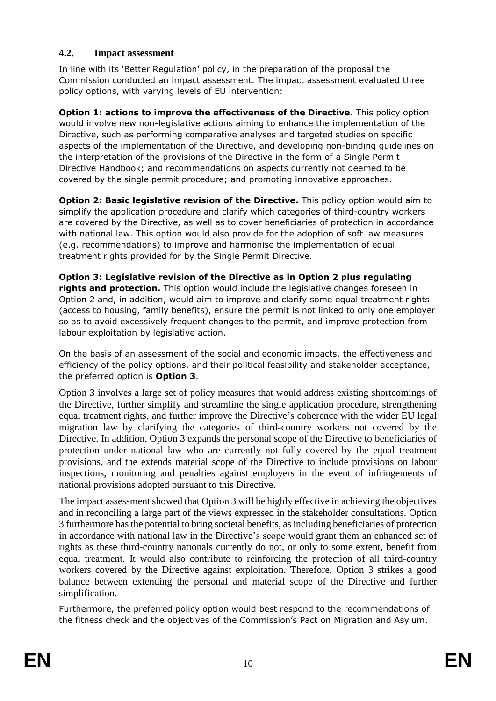## **4.2. Impact assessment**

In line with its 'Better Regulation' policy, in the preparation of the proposal the Commission conducted an impact assessment. The impact assessment evaluated three policy options, with varying levels of EU intervention:

**Option 1: actions to improve the effectiveness of the Directive.** This policy option would involve new non-legislative actions aiming to enhance the implementation of the Directive, such as performing comparative analyses and targeted studies on specific aspects of the implementation of the Directive, and developing non-binding guidelines on the interpretation of the provisions of the Directive in the form of a Single Permit Directive Handbook; and recommendations on aspects currently not deemed to be covered by the single permit procedure; and promoting innovative approaches.

**Option 2: Basic legislative revision of the Directive.** This policy option would aim to simplify the application procedure and clarify which categories of third-country workers are covered by the Directive, as well as to cover beneficiaries of protection in accordance with national law. This option would also provide for the adoption of soft law measures (e.g. recommendations) to improve and harmonise the implementation of equal treatment rights provided for by the Single Permit Directive.

**Option 3: Legislative revision of the Directive as in Option 2 plus regulating rights and protection.** This option would include the legislative changes foreseen in Option 2 and, in addition, would aim to improve and clarify some equal treatment rights (access to housing, family benefits), ensure the permit is not linked to only one employer so as to avoid excessively frequent changes to the permit, and improve protection from labour exploitation by legislative action.

On the basis of an assessment of the social and economic impacts, the effectiveness and efficiency of the policy options, and their political feasibility and stakeholder acceptance, the preferred option is **Option 3**.

Option 3 involves a large set of policy measures that would address existing shortcomings of the Directive, further simplify and streamline the single application procedure, strengthening equal treatment rights, and further improve the Directive's coherence with the wider EU legal migration law by clarifying the categories of third-country workers not covered by the Directive. In addition, Option 3 expands the personal scope of the Directive to beneficiaries of protection under national law who are currently not fully covered by the equal treatment provisions, and the extends material scope of the Directive to include provisions on labour inspections, monitoring and penalties against employers in the event of infringements of national provisions adopted pursuant to this Directive.

The impact assessment showed that Option 3 will be highly effective in achieving the objectives and in reconciling a large part of the views expressed in the stakeholder consultations. Option 3 furthermore has the potential to bring societal benefits, as including beneficiaries of protection in accordance with national law in the Directive's scope would grant them an enhanced set of rights as these third-country nationals currently do not, or only to some extent, benefit from equal treatment. It would also contribute to reinforcing the protection of all third-country workers covered by the Directive against exploitation. Therefore, Option 3 strikes a good balance between extending the personal and material scope of the Directive and further simplification.

Furthermore, the preferred policy option would best respond to the recommendations of the fitness check and the objectives of the Commission's Pact on Migration and Asylum.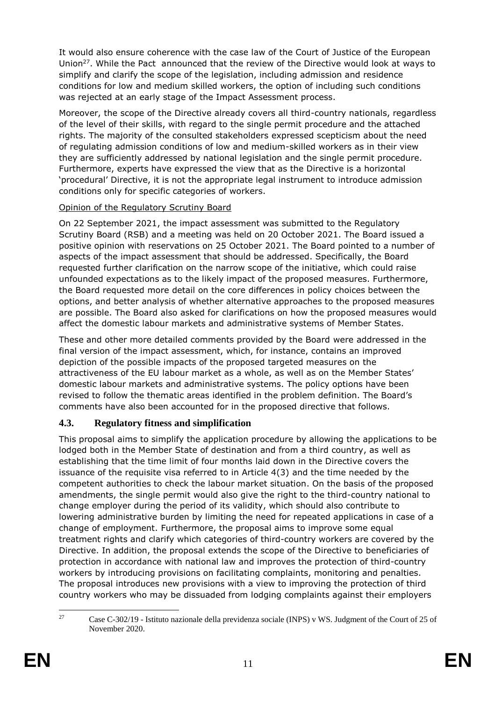It would also ensure coherence with the case law of the Court of Justice of the European Union<sup>27</sup>. While the Pact announced that the review of the Directive would look at ways to simplify and clarify the scope of the legislation, including admission and residence conditions for low and medium skilled workers, the option of including such conditions was rejected at an early stage of the Impact Assessment process.

Moreover, the scope of the Directive already covers all third-country nationals, regardless of the level of their skills, with regard to the single permit procedure and the attached rights. The majority of the consulted stakeholders expressed scepticism about the need of regulating admission conditions of low and medium-skilled workers as in their view they are sufficiently addressed by national legislation and the single permit procedure. Furthermore, experts have expressed the view that as the Directive is a horizontal 'procedural' Directive, it is not the appropriate legal instrument to introduce admission conditions only for specific categories of workers.

### Opinion of the Regulatory Scrutiny Board

On 22 September 2021, the impact assessment was submitted to the Regulatory Scrutiny Board (RSB) and a meeting was held on 20 October 2021. The Board issued a positive opinion with reservations on 25 October 2021. The Board pointed to a number of aspects of the impact assessment that should be addressed. Specifically, the Board requested further clarification on the narrow scope of the initiative, which could raise unfounded expectations as to the likely impact of the proposed measures. Furthermore, the Board requested more detail on the core differences in policy choices between the options, and better analysis of whether alternative approaches to the proposed measures are possible. The Board also asked for clarifications on how the proposed measures would affect the domestic labour markets and administrative systems of Member States.

These and other more detailed comments provided by the Board were addressed in the final version of the impact assessment, which, for instance, contains an improved depiction of the possible impacts of the proposed targeted measures on the attractiveness of the EU labour market as a whole, as well as on the Member States' domestic labour markets and administrative systems. The policy options have been revised to follow the thematic areas identified in the problem definition. The Board's comments have also been accounted for in the proposed directive that follows.

## **4.3. Regulatory fitness and simplification**

This proposal aims to simplify the application procedure by allowing the applications to be lodged both in the Member State of destination and from a third country, as well as establishing that the time limit of four months laid down in the Directive covers the issuance of the requisite visa referred to in Article 4(3) and the time needed by the competent authorities to check the labour market situation. On the basis of the proposed amendments, the single permit would also give the right to the third-country national to change employer during the period of its validity, which should also contribute to lowering administrative burden by limiting the need for repeated applications in case of a change of employment. Furthermore, the proposal aims to improve some equal treatment rights and clarify which categories of third-country workers are covered by the Directive. In addition, the proposal extends the scope of the Directive to beneficiaries of protection in accordance with national law and improves the protection of third-country workers by introducing provisions on facilitating complaints, monitoring and penalties. The proposal introduces new provisions with a view to improving the protection of third country workers who may be dissuaded from lodging complaints against their employers

 $\overline{27}$ <sup>27</sup> Case C-302/19 - Istituto nazionale della previdenza sociale (INPS) v WS. Judgment of the Court of 25 of November 2020.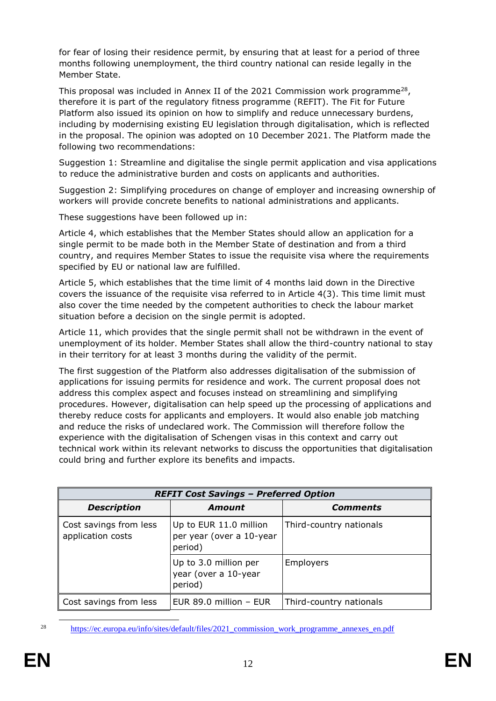for fear of losing their residence permit, by ensuring that at least for a period of three months following unemployment, the third country national can reside legally in the Member State.

This proposal was included in Annex II of the 2021 Commission work programme<sup>28</sup>, therefore it is part of the regulatory fitness programme (REFIT). The Fit for Future Platform also issued its opinion on how to simplify and reduce unnecessary burdens, including by modernising existing EU legislation through digitalisation, which is reflected in the proposal. The opinion was adopted on 10 December 2021. The Platform made the following two recommendations:

Suggestion 1: Streamline and digitalise the single permit application and visa applications to reduce the administrative burden and costs on applicants and authorities.

Suggestion 2: Simplifying procedures on change of employer and increasing ownership of workers will provide concrete benefits to national administrations and applicants.

These suggestions have been followed up in:

Article 4, which establishes that the Member States should allow an application for a single permit to be made both in the Member State of destination and from a third country, and requires Member States to issue the requisite visa where the requirements specified by EU or national law are fulfilled.

Article 5, which establishes that the time limit of 4 months laid down in the Directive covers the issuance of the requisite visa referred to in Article 4(3). This time limit must also cover the time needed by the competent authorities to check the labour market situation before a decision on the single permit is adopted.

Article 11, which provides that the single permit shall not be withdrawn in the event of unemployment of its holder. Member States shall allow the third-country national to stay in their territory for at least 3 months during the validity of the permit.

The first suggestion of the Platform also addresses digitalisation of the submission of applications for issuing permits for residence and work. The current proposal does not address this complex aspect and focuses instead on streamlining and simplifying procedures. However, digitalisation can help speed up the processing of applications and thereby reduce costs for applicants and employers. It would also enable job matching and reduce the risks of undeclared work. The Commission will therefore follow the experience with the digitalisation of Schengen visas in this context and carry out technical work within its relevant networks to discuss the opportunities that digitalisation could bring and further explore its benefits and impacts.

| <b>REFIT Cost Savings - Preferred Option</b> |                                                               |                         |  |
|----------------------------------------------|---------------------------------------------------------------|-------------------------|--|
| <b>Description</b>                           | Amount                                                        | Comments                |  |
| Cost savings from less<br>application costs  | Up to EUR 11.0 million<br>per year (over a 10-year<br>period) | Third-country nationals |  |
|                                              | Up to 3.0 million per<br>year (over a 10-year<br>period)      | <b>Employers</b>        |  |
| Cost savings from less                       | EUR 89.0 million - EUR                                        | Third-country nationals |  |

-

<sup>&</sup>lt;sup>28</sup> https://ec.europa.eu/info/sites/default/files/2021 commission work programme annexes en.pdf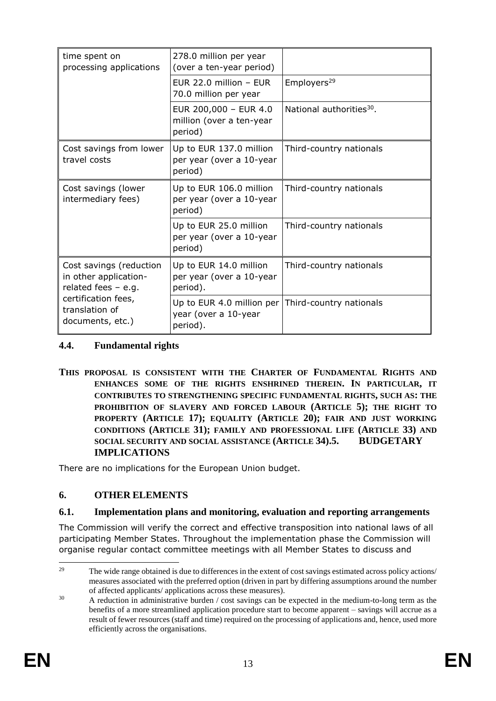| time spent on<br>processing applications                                                                                               | 278.0 million per year<br>(over a ten-year period)                                    |                                      |
|----------------------------------------------------------------------------------------------------------------------------------------|---------------------------------------------------------------------------------------|--------------------------------------|
|                                                                                                                                        | EUR 22.0 million $-$ EUR<br>70.0 million per year                                     | Employers <sup>29</sup>              |
|                                                                                                                                        | EUR 200,000 - EUR 4.0<br>million (over a ten-year<br>period)                          | National authorities <sup>30</sup> . |
| Cost savings from lower<br>travel costs                                                                                                | Up to EUR 137.0 million<br>per year (over a 10-year<br>period)                        | Third-country nationals              |
| Cost savings (lower<br>intermediary fees)                                                                                              | Up to EUR 106.0 million<br>per year (over a 10-year<br>period)                        | Third-country nationals              |
|                                                                                                                                        | Up to EUR 25.0 million<br>per year (over a 10-year<br>period)                         | Third-country nationals              |
| Cost savings (reduction<br>in other application-<br>related fees $-$ e.g.<br>certification fees,<br>translation of<br>documents, etc.) | Up to EUR 14.0 million<br>per year (over a 10-year<br>period).                        | Third-country nationals              |
|                                                                                                                                        | Up to EUR 4.0 million per Third-country nationals<br>year (over a 10-year<br>period). |                                      |

#### **4.4. Fundamental rights**

**THIS PROPOSAL IS CONSISTENT WITH THE CHARTER OF FUNDAMENTAL RIGHTS AND ENHANCES SOME OF THE RIGHTS ENSHRINED THEREIN. IN PARTICULAR, IT CONTRIBUTES TO STRENGTHENING SPECIFIC FUNDAMENTAL RIGHTS, SUCH AS: THE PROHIBITION OF SLAVERY AND FORCED LABOUR (ARTICLE 5); THE RIGHT TO PROPERTY (ARTICLE 17); EQUALITY (ARTICLE 20); FAIR AND JUST WORKING CONDITIONS (ARTICLE 31); FAMILY AND PROFESSIONAL LIFE (ARTICLE 33) AND SOCIAL SECURITY AND SOCIAL ASSISTANCE (ARTICLE 34).5. BUDGETARY IMPLICATIONS**

There are no implications for the European Union budget.

## **6. OTHER ELEMENTS**

#### **6.1. Implementation plans and monitoring, evaluation and reporting arrangements**

The Commission will verify the correct and effective transposition into national laws of all participating Member States. Throughout the implementation phase the Commission will organise regular contact committee meetings with all Member States to discuss and

 $29$ The wide range obtained is due to differences in the extent of cost savings estimated across policy actions/ measures associated with the preferred option (driven in part by differing assumptions around the number of affected applicants/ applications across these measures).

 $30$  A reduction in administrative burden / cost savings can be expected in the medium-to-long term as the benefits of a more streamlined application procedure start to become apparent – savings will accrue as a result of fewer resources (staff and time) required on the processing of applications and, hence, used more efficiently across the organisations.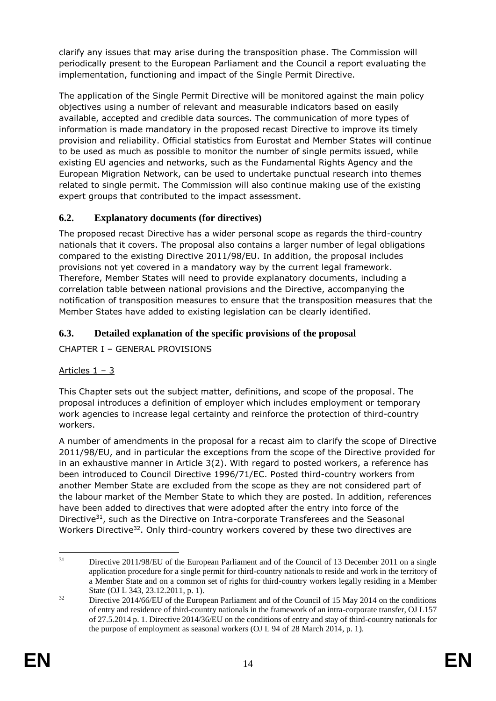clarify any issues that may arise during the transposition phase. The Commission will periodically present to the European Parliament and the Council a report evaluating the implementation, functioning and impact of the Single Permit Directive.

The application of the Single Permit Directive will be monitored against the main policy objectives using a number of relevant and measurable indicators based on easily available, accepted and credible data sources. The communication of more types of information is made mandatory in the proposed recast Directive to improve its timely provision and reliability. Official statistics from Eurostat and Member States will continue to be used as much as possible to monitor the number of single permits issued, while existing EU agencies and networks, such as the Fundamental Rights Agency and the European Migration Network, can be used to undertake punctual research into themes related to single permit. The Commission will also continue making use of the existing expert groups that contributed to the impact assessment.

## **6.2. Explanatory documents (for directives)**

The proposed recast Directive has a wider personal scope as regards the third-country nationals that it covers. The proposal also contains a larger number of legal obligations compared to the existing Directive 2011/98/EU. In addition, the proposal includes provisions not yet covered in a mandatory way by the current legal framework. Therefore, Member States will need to provide explanatory documents, including a correlation table between national provisions and the Directive, accompanying the notification of transposition measures to ensure that the transposition measures that the Member States have added to existing legislation can be clearly identified.

## **6.3. Detailed explanation of the specific provisions of the proposal**

CHAPTER I – GENERAL PROVISIONS

## Articles 1 – 3

This Chapter sets out the subject matter, definitions, and scope of the proposal. The proposal introduces a definition of employer which includes employment or temporary work agencies to increase legal certainty and reinforce the protection of third-country workers.

A number of amendments in the proposal for a recast aim to clarify the scope of Directive 2011/98/EU, and in particular the exceptions from the scope of the Directive provided for in an exhaustive manner in Article 3(2). With regard to posted workers, a reference has been introduced to Council Directive 1996/71/EC. Posted third-country workers from another Member State are excluded from the scope as they are not considered part of the labour market of the Member State to which they are posted. In addition, references have been added to directives that were adopted after the entry into force of the Directive<sup>31</sup>, such as the Directive on Intra-corporate Transferees and the Seasonal Workers Directive<sup>32</sup>. Only third-country workers covered by these two directives are

 $31$ Directive 2011/98/EU of the European Parliament and of the Council of 13 December 2011 on a single application procedure for a single permit for third-country nationals to reside and work in the territory of a Member State and on a common set of rights for third-country workers legally residing in a Member State (OJ L 343, 23.12.2011, p. 1).

<sup>&</sup>lt;sup>32</sup> Directive 2014/66/EU of the European Parliament and of the Council of 15 May 2014 on the conditions of entry and residence of third-country nationals in the framework of an intra-corporate transfer, OJ L157 of 27.5.2014 p. 1. Directive 2014/36/EU on the conditions of entry and stay of third-country nationals for the purpose of employment as seasonal workers (OJ L 94 of 28 March 2014, p. 1).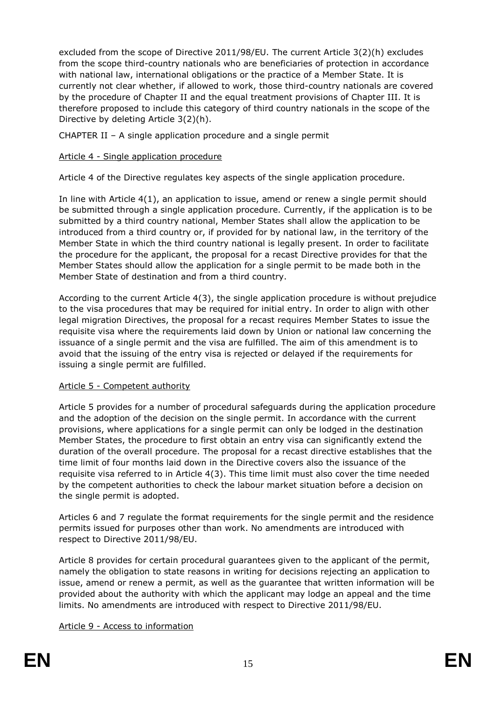excluded from the scope of Directive 2011/98/EU. The current Article 3(2)(h) excludes from the scope third-country nationals who are beneficiaries of protection in accordance with national law, international obligations or the practice of a Member State. It is currently not clear whether, if allowed to work, those third-country nationals are covered by the procedure of Chapter II and the equal treatment provisions of Chapter III. It is therefore proposed to include this category of third country nationals in the scope of the Directive by deleting Article 3(2)(h).

CHAPTER II – A single application procedure and a single permit

#### Article 4 - Single application procedure

Article 4 of the Directive regulates key aspects of the single application procedure.

In line with Article 4(1), an application to issue, amend or renew a single permit should be submitted through a single application procedure. Currently, if the application is to be submitted by a third country national, Member States shall allow the application to be introduced from a third country or, if provided for by national law, in the territory of the Member State in which the third country national is legally present. In order to facilitate the procedure for the applicant, the proposal for a recast Directive provides for that the Member States should allow the application for a single permit to be made both in the Member State of destination and from a third country.

According to the current Article 4(3), the single application procedure is without prejudice to the visa procedures that may be required for initial entry. In order to align with other legal migration Directives, the proposal for a recast requires Member States to issue the requisite visa where the requirements laid down by Union or national law concerning the issuance of a single permit and the visa are fulfilled. The aim of this amendment is to avoid that the issuing of the entry visa is rejected or delayed if the requirements for issuing a single permit are fulfilled.

#### Article 5 - Competent authority

Article 5 provides for a number of procedural safeguards during the application procedure and the adoption of the decision on the single permit. In accordance with the current provisions, where applications for a single permit can only be lodged in the destination Member States, the procedure to first obtain an entry visa can significantly extend the duration of the overall procedure. The proposal for a recast directive establishes that the time limit of four months laid down in the Directive covers also the issuance of the requisite visa referred to in Article 4(3). This time limit must also cover the time needed by the competent authorities to check the labour market situation before a decision on the single permit is adopted.

Articles 6 and 7 regulate the format requirements for the single permit and the residence permits issued for purposes other than work. No amendments are introduced with respect to Directive 2011/98/EU.

Article 8 provides for certain procedural guarantees given to the applicant of the permit, namely the obligation to state reasons in writing for decisions rejecting an application to issue, amend or renew a permit, as well as the guarantee that written information will be provided about the authority with which the applicant may lodge an appeal and the time limits. No amendments are introduced with respect to Directive 2011/98/EU.

#### Article 9 - Access to information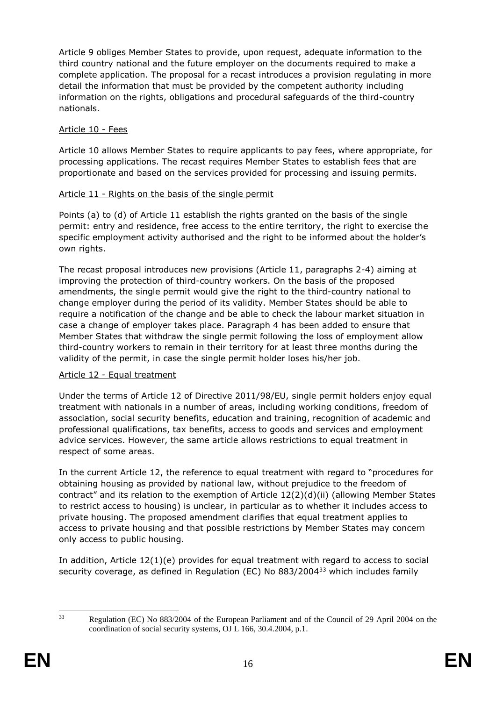Article 9 obliges Member States to provide, upon request, adequate information to the third country national and the future employer on the documents required to make a complete application. The proposal for a recast introduces a provision regulating in more detail the information that must be provided by the competent authority including information on the rights, obligations and procedural safeguards of the third-country nationals.

### Article 10 - Fees

Article 10 allows Member States to require applicants to pay fees, where appropriate, for processing applications. The recast requires Member States to establish fees that are proportionate and based on the services provided for processing and issuing permits.

#### Article 11 - Rights on the basis of the single permit

Points (a) to (d) of Article 11 establish the rights granted on the basis of the single permit: entry and residence, free access to the entire territory, the right to exercise the specific employment activity authorised and the right to be informed about the holder's own rights.

The recast proposal introduces new provisions (Article 11, paragraphs 2-4) aiming at improving the protection of third-country workers. On the basis of the proposed amendments, the single permit would give the right to the third-country national to change employer during the period of its validity. Member States should be able to require a notification of the change and be able to check the labour market situation in case a change of employer takes place. Paragraph 4 has been added to ensure that Member States that withdraw the single permit following the loss of employment allow third-country workers to remain in their territory for at least three months during the validity of the permit, in case the single permit holder loses his/her job.

#### Article 12 - Equal treatment

Under the terms of Article 12 of Directive 2011/98/EU, single permit holders enjoy equal treatment with nationals in a number of areas, including working conditions, freedom of association, social security benefits, education and training, recognition of academic and professional qualifications, tax benefits, access to goods and services and employment advice services. However, the same article allows restrictions to equal treatment in respect of some areas.

In the current Article 12, the reference to equal treatment with regard to "procedures for obtaining housing as provided by national law, without prejudice to the freedom of contract" and its relation to the exemption of Article 12(2)(d)(ii) (allowing Member States to restrict access to housing) is unclear, in particular as to whether it includes access to private housing. The proposed amendment clarifies that equal treatment applies to access to private housing and that possible restrictions by Member States may concern only access to public housing.

In addition, Article 12(1)(e) provides for equal treatment with regard to access to social security coverage, as defined in Regulation (EC) No 883/2004<sup>33</sup> which includes family

 $33$ 

<sup>33</sup> Regulation (EC) No 883/2004 of the European Parliament and of the Council of 29 April 2004 on the coordination of social security systems, OJ L 166, 30.4.2004, p.1.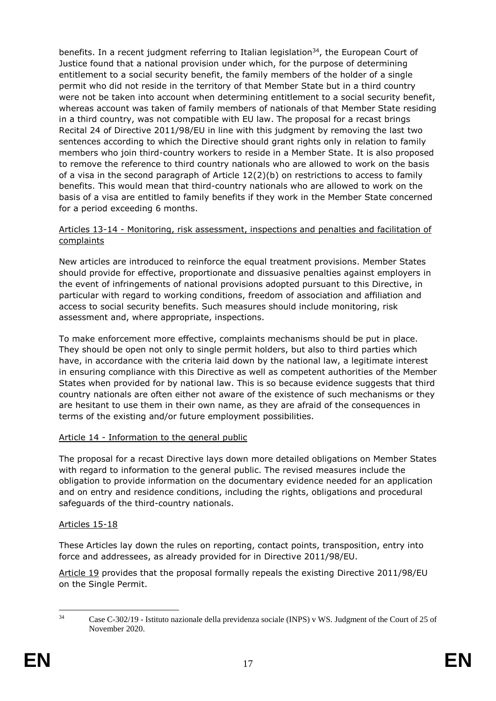benefits. In a recent judgment referring to Italian legislation<sup>34</sup>, the European Court of Justice found that a national provision under which, for the purpose of determining entitlement to a social security benefit, the family members of the holder of a single permit who did not reside in the territory of that Member State but in a third country were not be taken into account when determining entitlement to a social security benefit, whereas account was taken of family members of nationals of that Member State residing in a third country, was not compatible with EU law. The proposal for a recast brings Recital 24 of Directive 2011/98/EU in line with this judgment by removing the last two sentences according to which the Directive should grant rights only in relation to family members who join third-country workers to reside in a Member State. It is also proposed to remove the reference to third country nationals who are allowed to work on the basis of a visa in the second paragraph of Article  $12(2)(b)$  on restrictions to access to family benefits. This would mean that third-country nationals who are allowed to work on the basis of a visa are entitled to family benefits if they work in the Member State concerned for a period exceeding 6 months.

#### Articles 13-14 - Monitoring, risk assessment, inspections and penalties and facilitation of complaints

New articles are introduced to reinforce the equal treatment provisions. Member States should provide for effective, proportionate and dissuasive penalties against employers in the event of infringements of national provisions adopted pursuant to this Directive, in particular with regard to working conditions, freedom of association and affiliation and access to social security benefits. Such measures should include monitoring, risk assessment and, where appropriate, inspections.

To make enforcement more effective, complaints mechanisms should be put in place. They should be open not only to single permit holders, but also to third parties which have, in accordance with the criteria laid down by the national law, a legitimate interest in ensuring compliance with this Directive as well as competent authorities of the Member States when provided for by national law. This is so because evidence suggests that third country nationals are often either not aware of the existence of such mechanisms or they are hesitant to use them in their own name, as they are afraid of the consequences in terms of the existing and/or future employment possibilities.

## Article 14 - Information to the general public

The proposal for a recast Directive lays down more detailed obligations on Member States with regard to information to the general public. The revised measures include the obligation to provide information on the documentary evidence needed for an application and on entry and residence conditions, including the rights, obligations and procedural safeguards of the third-country nationals.

#### Articles 15-18

These Articles lay down the rules on reporting, contact points, transposition, entry into force and addressees, as already provided for in Directive 2011/98/EU.

Article 19 provides that the proposal formally repeals the existing Directive 2011/98/EU on the Single Permit.

 $34$ Case C-302/19 - Istituto nazionale della previdenza sociale (INPS) v WS. Judgment of the Court of 25 of November 2020.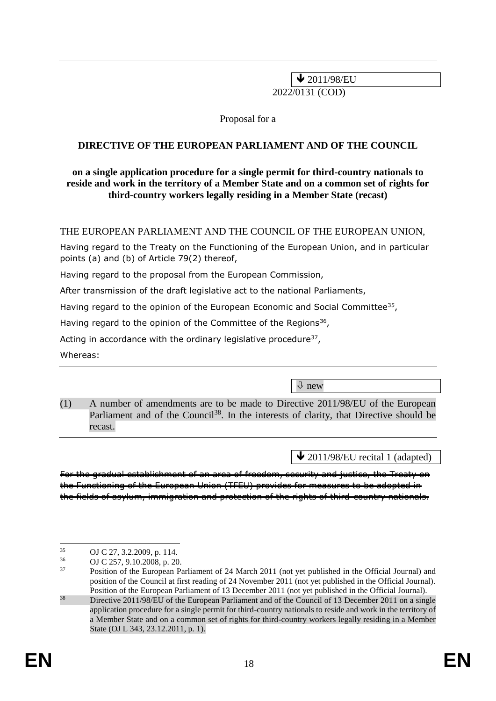$\bigvee$  2011/98/EU

2022/0131 (COD)

Proposal for a

#### **DIRECTIVE OF THE EUROPEAN PARLIAMENT AND OF THE COUNCIL**

#### **on a single application procedure for a single permit for third-country nationals to reside and work in the territory of a Member State and on a common set of rights for third-country workers legally residing in a Member State (recast)**

THE EUROPEAN PARLIAMENT AND THE COUNCIL OF THE EUROPEAN UNION,

Having regard to the Treaty on the Functioning of the European Union, and in particular points (a) and (b) of Article 79(2) thereof,

Having regard to the proposal from the European Commission,

After transmission of the draft legislative act to the national Parliaments,

Having regard to the opinion of the European Economic and Social Committee<sup>35</sup>,

Having regard to the opinion of the Committee of the Regions<sup>36</sup>,

Acting in accordance with the ordinary legislative procedure $37$ ,

Whereas:

new

(1) A number of amendments are to be made to Directive 2011/98/EU of the European Parliament and of the Council<sup>38</sup>. In the interests of clarity, that Directive should be recast.

 $\triangle$  2011/98/EU recital 1 (adapted)

For the gradual establishment of an area of freedom, security and justice, the Treaty on the Functioning of the European Union (TFEU) provides for measures to be adopted in the fields of asylum, immigration and protection of the rights of third-country nationals.

 $35$  $^{35}$  OJ C 27, 3.2.2009, p. 114.

 $^{36}$  OJ C 257, 9.10.2008, p. 20.<br> $^{37}$  Position of the European P

<sup>37</sup> Position of the European Parliament of 24 March 2011 (not yet published in the Official Journal) and position of the Council at first reading of 24 November 2011 (not yet published in the Official Journal). Position of the European Parliament of 13 December 2011 (not yet published in the Official Journal).

<sup>&</sup>lt;sup>38</sup> Directive 2011/98/EU of the European Parliament and of the Council of 13 December 2011 on a single application procedure for a single permit for third-country nationals to reside and work in the territory of a Member State and on a common set of rights for third-country workers legally residing in a Member State (OJ L 343, 23.12.2011, p. 1).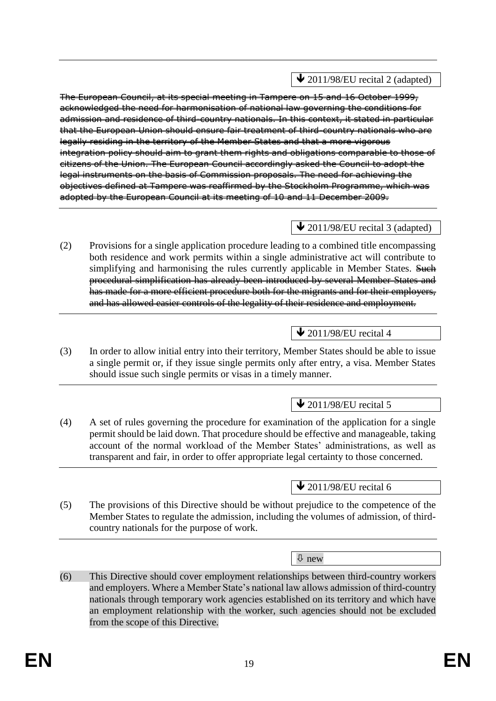The European Council, at its special meeting in Tampere on 15 and 16 October 1999, acknowledged the need for harmonisation of national law governing the conditions for admission and residence of third-country nationals. In this context, it stated in particular that the European Union should ensure fair treatment of third-country nationals who are legally residing in the territory of the Member States and that a more vigorous integration policy should aim to grant them rights and obligations comparable to those of citizens of the Union. The European Council accordingly asked the Council to adopt the legal instruments on the basis of Commission proposals. The need for achieving the objectives defined at Tampere was reaffirmed by the Stockholm Programme, which was adopted by the European Council at its meeting of 10 and 11 December 2009.

## $\bigvee$  2011/98/EU recital 3 (adapted)

(2) Provisions for a single application procedure leading to a combined title encompassing both residence and work permits within a single administrative act will contribute to simplifying and harmonising the rules currently applicable in Member States. Such procedural simplification has already been introduced by several Member States and has made for a more efficient procedure both for the migrants and for their employers, and has allowed easier controls of the legality of their residence and employment.

# $\bigvee$  2011/98/EU recital 4

(3) In order to allow initial entry into their territory, Member States should be able to issue a single permit or, if they issue single permits only after entry, a visa. Member States should issue such single permits or visas in a timely manner.

# $\triangle$  2011/98/EU recital 5

(4) A set of rules governing the procedure for examination of the application for a single permit should be laid down. That procedure should be effective and manageable, taking account of the normal workload of the Member States' administrations, as well as transparent and fair, in order to offer appropriate legal certainty to those concerned.

## $\triangle$  2011/98/EU recital 6

(5) The provisions of this Directive should be without prejudice to the competence of the Member States to regulate the admission, including the volumes of admission, of thirdcountry nationals for the purpose of work.

new

(6) This Directive should cover employment relationships between third-country workers and employers. Where a Member State's national law allows admission of third-country nationals through temporary work agencies established on its territory and which have an employment relationship with the worker, such agencies should not be excluded from the scope of this Directive.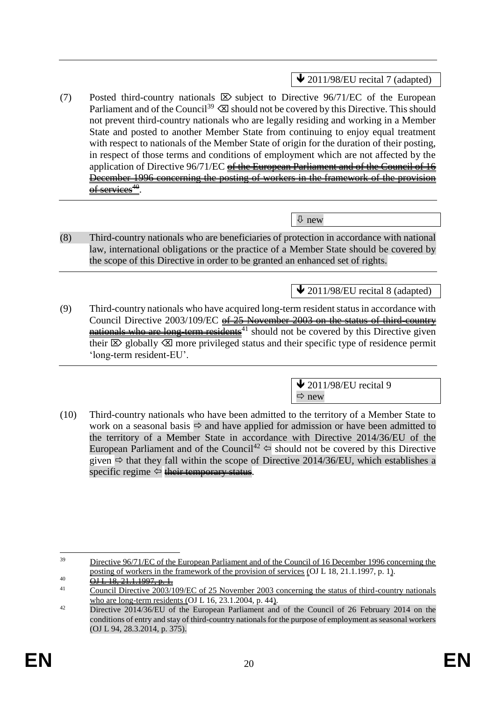$\bigvee$  2011/98/EU recital 7 (adapted)

(7) Posted third-country nationals  $\boxtimes$  subject to Directive 96/71/EC of the European Parliament and of the Council<sup>39</sup>  $\otimes$  should not be covered by this Directive. This should not prevent third-country nationals who are legally residing and working in a Member State and posted to another Member State from continuing to enjoy equal treatment with respect to nationals of the Member State of origin for the duration of their posting, in respect of those terms and conditions of employment which are not affected by the application of Directive  $96/71/EC$  of the European Parliament and of the Council of 16 December 1996 concerning the posting of workers in the framework of the provision of services<sup>40</sup>.

 $\sqrt{\Psi}$  new

(8) Third-country nationals who are beneficiaries of protection in accordance with national law, international obligations or the practice of a Member State should be covered by the scope of this Directive in order to be granted an enhanced set of rights.

 $\triangle$  2011/98/EU recital 8 (adapted)

(9) Third-country nationals who have acquired long-term resident status in accordance with Council Directive 2003/109/EC of 25 November 2003 on the status of third-country nationals who are long-term residents<sup>41</sup> should not be covered by this Directive given their  $\boxtimes$  globally  $\boxtimes$  more privileged status and their specific type of residence permit 'long-term resident-EU'.

> $\bigvee$  2011/98/EU recital 9  $\Rightarrow$  new

(10) Third-country nationals who have been admitted to the territory of a Member State to work on a seasonal basis  $\Rightarrow$  and have applied for admission or have been admitted to the territory of a Member State in accordance with Directive 2014/36/EU of the European Parliament and of the Council<sup>42</sup>  $\Leftrightarrow$  should not be covered by this Directive given  $\Rightarrow$  that they fall within the scope of Directive 2014/36/EU, which establishes a specific regime  $\Leftrightarrow$  their temporary status.

-<sup>39</sup> Directive 96/71/EC of the European Parliament and of the Council of 16 December 1996 concerning the posting of workers in the framework of the provision of services (OJ L 18, 21.1.1997, p. 1).

<sup>40</sup>  $\underline{OHL}$  18, 21, 1.1997, p. 1.<br>41 Council Directive 2003/1

Council Directive 2003/109/EC of 25 November 2003 concerning the status of third-country nationals who are long-term residents (OJ L 16, 23.1.2004, p. 44).

<sup>&</sup>lt;sup>42</sup> Directive 2014/36/EU of the European Parliament and of the Council of 26 February 2014 on the conditions of entry and stay of third-country nationals for the purpose of employment as seasonal workers (OJ L 94, 28.3.2014, p. 375).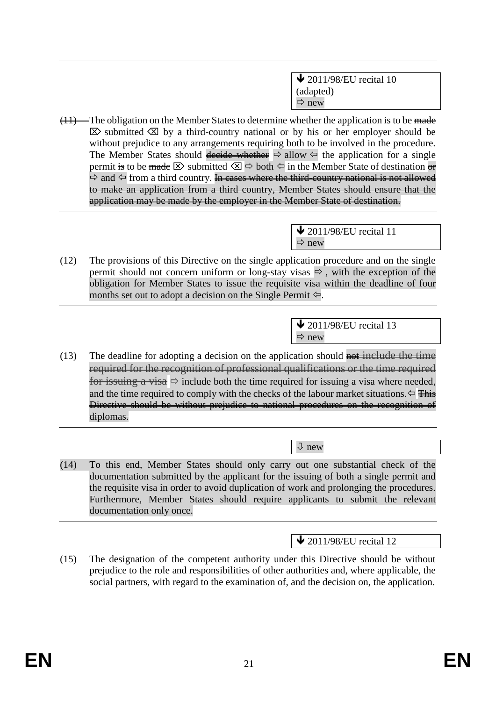$\bigvee$  2011/98/EU recital 10 (adapted)  $\Rightarrow$  new

 $(11)$ —The obligation on the Member States to determine whether the application is to be made  $\boxtimes$  submitted  $\boxtimes$  by a third-country national or by his or her employer should be without prejudice to any arrangements requiring both to be involved in the procedure. The Member States should decide whether  $\Rightarrow$  allow  $\Leftarrow$  the application for a single permit is to be made  $\boxtimes$  submitted  $\boxtimes \Rightarrow$  both  $\Leftrightarrow$  in the Member State of destination or  $\Rightarrow$  and  $\Leftarrow$  from a third country. In cases where the third-country national is not allowed to make an application from a third country, Member States should ensure that the application may be made by the employer in the Member State of destination.

> $\bigvee$  2011/98/EU recital 11  $\Rightarrow$  new

(12) The provisions of this Directive on the single application procedure and on the single permit should not concern uniform or long-stay visas  $\Rightarrow$ , with the exception of the obligation for Member States to issue the requisite visa within the deadline of four months set out to adopt a decision on the Single Permit  $\leftarrow$ .

> $\blacktriangleright$  2011/98/EU recital 13  $Arr$  new

(13) The deadline for adopting a decision on the application should not include the time required for the recognition of professional qualifications or the time required for issuing a visa  $\Rightarrow$  include both the time required for issuing a visa where needed, and the time required to comply with the checks of the labour market situations.  $\leftarrow$  This Directive should be without prejudice to national procedures on the recognition of diplomas.

new

(14) To this end, Member States should only carry out one substantial check of the documentation submitted by the applicant for the issuing of both a single permit and the requisite visa in order to avoid duplication of work and prolonging the procedures. Furthermore, Member States should require applicants to submit the relevant documentation only once.

 $\triangle$  2011/98/EU recital 12

(15) The designation of the competent authority under this Directive should be without prejudice to the role and responsibilities of other authorities and, where applicable, the social partners, with regard to the examination of, and the decision on, the application.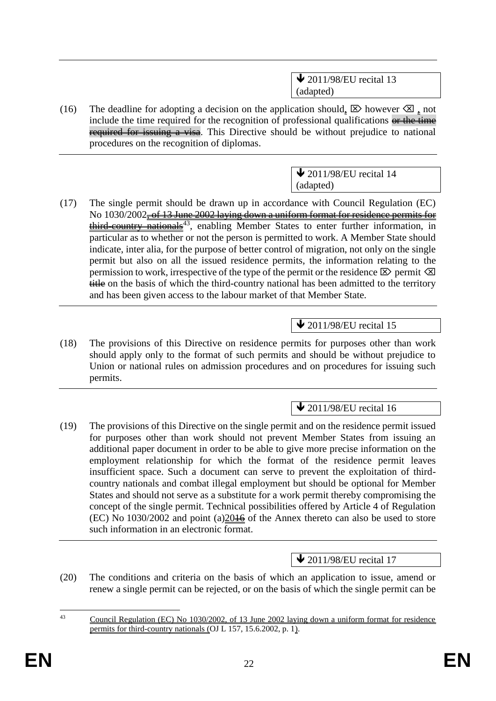$\bigvee$  2011/98/EU recital 13 (adapted)

(16) The deadline for adopting a decision on the application should,  $\boxtimes$  however  $\boxtimes$ , not include the time required for the recognition of professional qualifications  $\theta$  the time required for issuing a visa. This Directive should be without prejudice to national procedures on the recognition of diplomas.

> $\triangle$  2011/98/EU recital 14 (adapted)

(17) The single permit should be drawn up in accordance with Council Regulation (EC) No 1030/2002<del>, of 13 June 2002 laying down a uniform format for residence permits for</del> third-country nationals<sup>43</sup>, enabling Member States to enter further information, in particular as to whether or not the person is permitted to work. A Member State should indicate, inter alia, for the purpose of better control of migration, not only on the single permit but also on all the issued residence permits, the information relating to the permission to work, irrespective of the type of the permit or the residence  $\boxtimes$  permit  $\boxtimes$ title on the basis of which the third-country national has been admitted to the territory and has been given access to the labour market of that Member State.

 $\triangle$  2011/98/EU recital 15

(18) The provisions of this Directive on residence permits for purposes other than work should apply only to the format of such permits and should be without prejudice to Union or national rules on admission procedures and on procedures for issuing such permits.

 $\bigvee$  2011/98/EU recital 16

(19) The provisions of this Directive on the single permit and on the residence permit issued for purposes other than work should not prevent Member States from issuing an additional paper document in order to be able to give more precise information on the employment relationship for which the format of the residence permit leaves insufficient space. Such a document can serve to prevent the exploitation of thirdcountry nationals and combat illegal employment but should be optional for Member States and should not serve as a substitute for a work permit thereby compromising the concept of the single permit. Technical possibilities offered by Article 4 of Regulation  $(EC)$  No 1030/2002 and point  $(a)2046$  of the Annex thereto can also be used to store such information in an electronic format.

# $\bigvee$  2011/98/EU recital 17

(20) The conditions and criteria on the basis of which an application to issue, amend or renew a single permit can be rejected, or on the basis of which the single permit can be

 $\overline{43}$ Council Regulation (EC) No 1030/2002, of 13 June 2002 laying down a uniform format for residence permits for third-country nationals (OJ L 157, 15.6.2002, p. 1).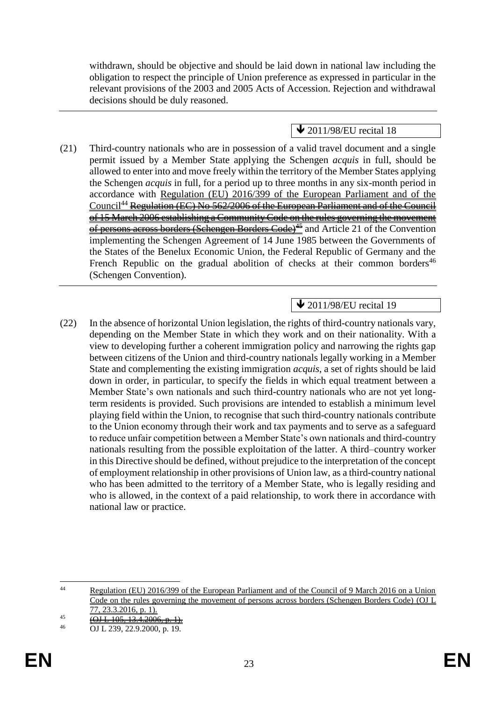withdrawn, should be objective and should be laid down in national law including the obligation to respect the principle of Union preference as expressed in particular in the relevant provisions of the 2003 and 2005 Acts of Accession. Rejection and withdrawal decisions should be duly reasoned.

 $\blacktriangleright$  2011/98/EU recital 18

(21) Third-country nationals who are in possession of a valid travel document and a single permit issued by a Member State applying the Schengen *acquis* in full, should be allowed to enter into and move freely within the territory of the Member States applying the Schengen *acquis* in full, for a period up to three months in any six-month period in accordance with Regulation (EU) 2016/399 of the European Parliament and of the Council<sup>44</sup> Regulation (EC) No 562/2006 of the European Parliament and of the Council of 15 March 2006 establishing a Community Code on the rules governing the movement of persons across borders (Schengen Borders Code)<sup>45</sup> and Article 21 of the Convention implementing the Schengen Agreement of 14 June 1985 between the Governments of the States of the Benelux Economic Union, the Federal Republic of Germany and the French Republic on the gradual abolition of checks at their common borders<sup>46</sup> (Schengen Convention).

# $\bigvee$  2011/98/EU recital 19

(22) In the absence of horizontal Union legislation, the rights of third-country nationals vary, depending on the Member State in which they work and on their nationality. With a view to developing further a coherent immigration policy and narrowing the rights gap between citizens of the Union and third-country nationals legally working in a Member State and complementing the existing immigration *acquis*, a set of rights should be laid down in order, in particular, to specify the fields in which equal treatment between a Member State's own nationals and such third-country nationals who are not yet longterm residents is provided. Such provisions are intended to establish a minimum level playing field within the Union, to recognise that such third-country nationals contribute to the Union economy through their work and tax payments and to serve as a safeguard to reduce unfair competition between a Member State's own nationals and third-country nationals resulting from the possible exploitation of the latter. A third–country worker in this Directive should be defined, without prejudice to the interpretation of the concept of employment relationship in other provisions of Union law, as a third-country national who has been admitted to the territory of a Member State, who is legally residing and who is allowed, in the context of a paid relationship, to work there in accordance with national law or practice.

 $44$ <sup>44</sup> Regulation (EU) 2016/399 of the European Parliament and of the Council of 9 March 2016 on a Union Code on the rules governing the movement of persons across borders (Schengen Borders Code) (OJ L 77, 23.3.2016, p. 1).

<sup>45</sup> **(OJ L 105, 13.4.2006, p.** 16

<sup>46</sup> OJ L 239, 22.9.2000, p. 19.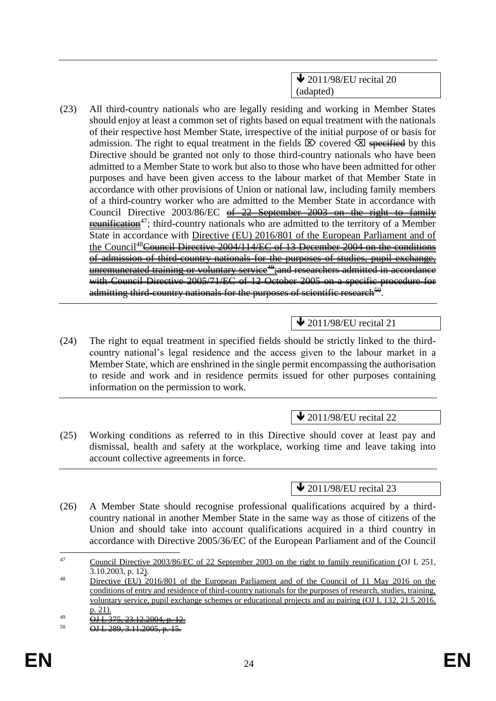$\triangle$  2011/98/EU recital 20 (adapted)

(23) All third-country nationals who are legally residing and working in Member States should enjoy at least a common set of rights based on equal treatment with the nationals of their respective host Member State, irrespective of the initial purpose of or basis for admission. The right to equal treatment in the fields  $\boxtimes$  covered  $\boxtimes$  specified by this Directive should be granted not only to those third-country nationals who have been admitted to a Member State to work but also to those who have been admitted for other purposes and have been given access to the labour market of that Member State in accordance with other provisions of Union or national law, including family members of a third-country worker who are admitted to the Member State in accordance with Council Directive 2003/86/EC of 22 September 2003 on the right to family **reunification**<sup>47</sup>; third-country nationals who are admitted to the territory of a Member State in accordance with Directive (EU) 2016/801 of the European Parliament and of the Council<sup>48</sup>Council Directive 2004/114/EC of 13 December 2004 on the conditions of admission of third-country nationals for the purposes of studies, pupil exchange, unremunerated training or voluntary service<sup>49</sup>; and researchers admitted in accordance with Council Directive 2005/71/EC of 12 October 2005 on a specific procedure for admitting third-country nationals for the purposes of scientific research $^{50}.$ 

# $\triangle$  2011/98/EU recital 21

(24) The right to equal treatment in specified fields should be strictly linked to the thirdcountry national's legal residence and the access given to the labour market in a Member State, which are enshrined in the single permit encompassing the authorisation to reside and work and in residence permits issued for other purposes containing information on the permission to work.

## **↓** 2011/98/EU recital 22

(25) Working conditions as referred to in this Directive should cover at least pay and dismissal, health and safety at the workplace, working time and leave taking into account collective agreements in force.

 $\blacktriangleright$  2011/98/EU recital 23

(26) A Member State should recognise professional qualifications acquired by a thirdcountry national in another Member State in the same way as those of citizens of the Union and should take into account qualifications acquired in a third country in accordance with Directive 2005/36/EC of the European Parliament and of the Council

<sup>-</sup><sup>47</sup> Council Directive 2003/86/EC of 22 September 2003 on the right to family reunification (OJ L 251, 3.10.2003, p. 12).

<sup>&</sup>lt;sup>48</sup> Directive (EU) 2016/801 of the European Parliament and of the Council of 11 May 2016 on the conditions of entry and residence of third-country nationals for the purposes of research, studies, training, voluntary service, pupil exchange schemes or educational projects and au pairing (OJ L 132, 21.5.2016, p. 21).

 $\frac{69}{12}$  OJ L 375, 23.12.2004, p. 12.

 $\overline{OH 1, 289, 3.11, 2005, p.}$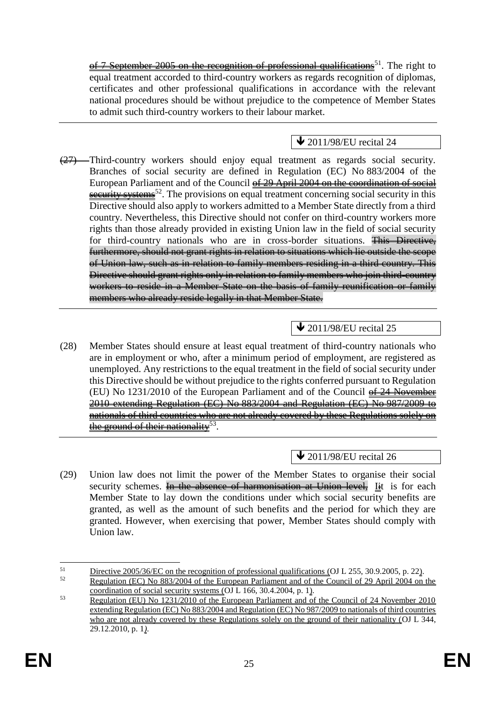of 7 September 2005 on the recognition of professional qualifications<sup>51</sup>. The right to equal treatment accorded to third-country workers as regards recognition of diplomas, certificates and other professional qualifications in accordance with the relevant national procedures should be without prejudice to the competence of Member States to admit such third-country workers to their labour market.

## $\bigvee$  2011/98/EU recital 24

(27) Third-country workers should enjoy equal treatment as regards social security. Branches of social security are defined in Regulation (EC) No 883/2004 of the European Parliament and of the Council of 29 April 2004 on the coordination of social  $\frac{secentity systems}{52}$ . The provisions on equal treatment concerning social security in this Directive should also apply to workers admitted to a Member State directly from a third country. Nevertheless, this Directive should not confer on third-country workers more rights than those already provided in existing Union law in the field of social security for third-country nationals who are in cross-border situations. This Directive, furthermore, should not grant rights in relation to situations which lie outside the scope of Union law, such as in relation to family members residing in a third country. This Directive should grant rights only in relation to family members who join third-country workers to reside in a Member State on the basis of family reunification or family members who already reside legally in that Member State.

## **↓** 2011/98/EU recital 25

(28) Member States should ensure at least equal treatment of third-country nationals who are in employment or who, after a minimum period of employment, are registered as unemployed. Any restrictions to the equal treatment in the field of social security under this Directive should be without prejudice to the rights conferred pursuant to Regulation (EU) No 1231/2010 of the European Parliament and of the Council of 24 November 2010 extending Regulation (EC) No 883/2004 and Regulation (EC) No 987/2009 to nationals of third countries who are not already covered by these Regulations solely on the ground of their nationality  $^{53}.$ 

**↓** 2011/98/EU recital 26

(29) Union law does not limit the power of the Member States to organise their social security schemes. In the absence of harmonisation at Union level, Iit is for each Member State to lay down the conditions under which social security benefits are granted, as well as the amount of such benefits and the period for which they are granted. However, when exercising that power, Member States should comply with Union law.

 $51$  $\frac{\text{Directive } 2005/36/\text{EC on the recognition of professional qualifications (OL L 255, 30.9.2005, p. 22)}{\text{Reulation (EC) No } 883/2004 \text{ of the European Parliament and of the Council of 29 April 2004 on }$ 

<sup>52</sup> Regulation (EC) No 883/2004 of the European Parliament and of the Council of 29 April 2004 on the coordination of social security systems (OJ L 166, 30.4.2004, p. 1).

 $\overline{\text{Regularian (EU) No } 1231/2010}$  of the European Parliament and  $\overline{\text{of the Council of 24 November 2010}}$ extending Regulation (EC) No 883/2004 and Regulation (EC) No 987/2009 to nationals of third countries who are not already covered by these Regulations solely on the ground of their nationality (OJ L 344, 29.12.2010, p. 1*)*.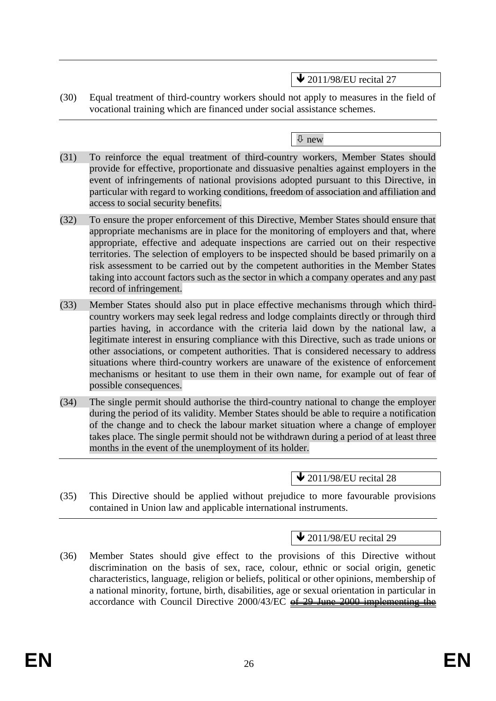$\triangle$  2011/98/EU recital 27

(30) Equal treatment of third-country workers should not apply to measures in the field of vocational training which are financed under social assistance schemes.

new

- (31) To reinforce the equal treatment of third-country workers, Member States should provide for effective, proportionate and dissuasive penalties against employers in the event of infringements of national provisions adopted pursuant to this Directive, in particular with regard to working conditions, freedom of association and affiliation and access to social security benefits.
- (32) To ensure the proper enforcement of this Directive, Member States should ensure that appropriate mechanisms are in place for the monitoring of employers and that, where appropriate, effective and adequate inspections are carried out on their respective territories. The selection of employers to be inspected should be based primarily on a risk assessment to be carried out by the competent authorities in the Member States taking into account factors such as the sector in which a company operates and any past record of infringement.
- (33) Member States should also put in place effective mechanisms through which thirdcountry workers may seek legal redress and lodge complaints directly or through third parties having, in accordance with the criteria laid down by the national law, a legitimate interest in ensuring compliance with this Directive, such as trade unions or other associations, or competent authorities. That is considered necessary to address situations where third-country workers are unaware of the existence of enforcement mechanisms or hesitant to use them in their own name, for example out of fear of possible consequences.
- (34) The single permit should authorise the third-country national to change the employer during the period of its validity. Member States should be able to require a notification of the change and to check the labour market situation where a change of employer takes place. The single permit should not be withdrawn during a period of at least three months in the event of the unemployment of its holder.

 $\triangle$  2011/98/EU recital 28

(35) This Directive should be applied without prejudice to more favourable provisions contained in Union law and applicable international instruments.

## $\bigvee$  2011/98/EU recital 29

(36) Member States should give effect to the provisions of this Directive without discrimination on the basis of sex, race, colour, ethnic or social origin, genetic characteristics, language, religion or beliefs, political or other opinions, membership of a national minority, fortune, birth, disabilities, age or sexual orientation in particular in accordance with Council Directive 2000/43/EC of 29 June 2000 implementing the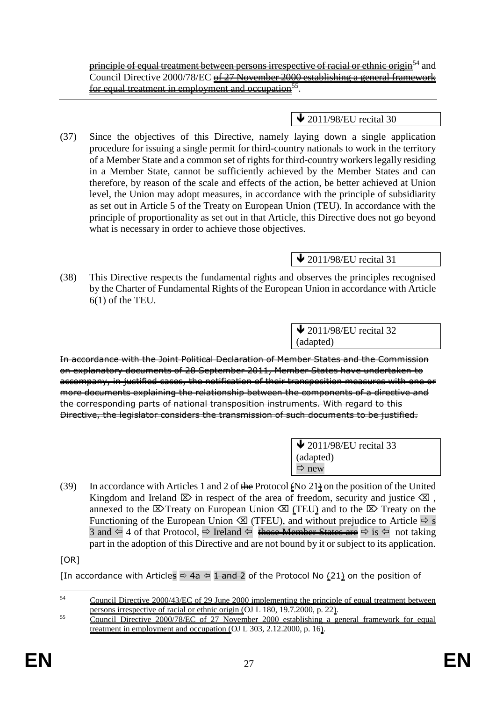**principle of equal treatment between persons irrespective of racial or ethnic origin**<sup>54</sup> and Council Directive 2000/78/EC <del>of 27 November 2000 establishing a general framework</del> <u>for equal treatment in employment and occupation</u>  $^{55}.$ 

## **↓** 2011/98/EU recital 30

(37) Since the objectives of this Directive, namely laying down a single application procedure for issuing a single permit for third-country nationals to work in the territory of a Member State and a common set of rights for third-country workers legally residing in a Member State, cannot be sufficiently achieved by the Member States and can therefore, by reason of the scale and effects of the action, be better achieved at Union level, the Union may adopt measures, in accordance with the principle of subsidiarity as set out in Article 5 of the Treaty on European Union (TEU). In accordance with the principle of proportionality as set out in that Article, this Directive does not go beyond what is necessary in order to achieve those objectives.

## $\triangle$  2011/98/EU recital 31

(38) This Directive respects the fundamental rights and observes the principles recognised by the Charter of Fundamental Rights of the European Union in accordance with Article 6(1) of the TEU.

> $\blacktriangleright$  2011/98/EU recital 32 (adapted)

In accordance with the Joint Political Declaration of Member States and the Commission on explanatory documents of 28 September 2011, Member States have undertaken to accompany, in justified cases, the notification of their transposition measures with one or more documents explaining the relationship between the components of a directive and the corresponding parts of national transposition instruments. With regard to this Directive, the legislator considers the transmission of such documents to be justified.

> $\triangle$  2011/98/EU recital 33 (adapted)  $\Rightarrow$  new

(39) In accordance with Articles 1 and 2 of the Protocol (No  $21\frac{1}{2}$  on the position of the United Kingdom and Ireland  $\boxtimes$  in respect of the area of freedom, security and justice  $\boxtimes$ , annexed to the  $\boxtimes$  Treaty on European Union  $\boxtimes$  (TEU) and to the  $\boxtimes$  Treaty on the Functioning of the European Union  $\otimes$  (TFEU), and without prejudice to Article  $\Rightarrow$  s 3 and  $\Leftrightarrow$  4 of that Protocol,  $\Leftrightarrow$  Ireland  $\Leftrightarrow$  those Member States are  $\Leftrightarrow$  is  $\Leftrightarrow$  not taking part in the adoption of this Directive and are not bound by it or subject to its application.

[OR]

[In accordance with Articles  $\Leftrightarrow$  4a  $\Leftrightarrow$  1 and 2 of the Protocol No  $\frac{1}{2}$  on the position of

<sup>54</sup> <sup>54</sup> Council Directive 2000/43/EC of 29 June 2000 implementing the principle of equal treatment between persons irrespective of racial or ethnic origin (OJ L 180, 19.7.2000, p. 22).

<sup>&</sup>lt;sup>55</sup> Council Directive 2000/78/EC of 27 November 2000 establishing a general framework for equal treatment in employment and occupation (OJ L 303, 2.12.2000, p. 16).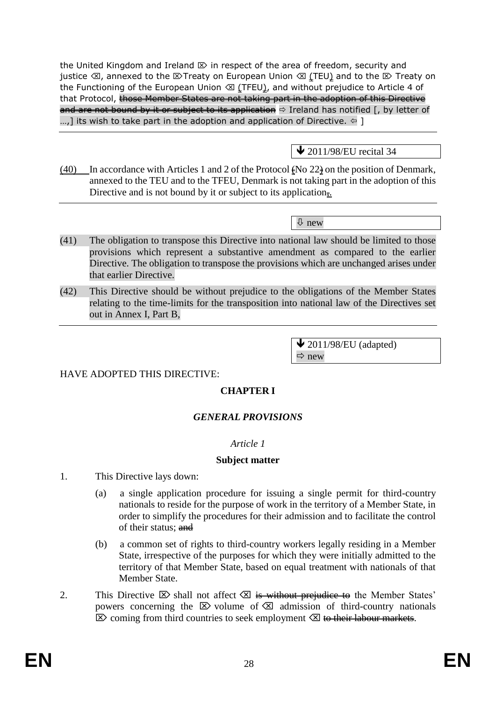the United Kingdom and Ireland  $\mathbb D$  in respect of the area of freedom, security and justice  $\otimes$ , annexed to the  $\otimes$  Treaty on European Union  $\otimes$  (TEU) and to the  $\otimes$  Treaty on the Functioning of the European Union  $\oslash$  (TFEU), and without prejudice to Article 4 of that Protocol, those Member States are not taking part in the adoption of this Directive and are not bound by it or subject to its application  $\Rightarrow$  Ireland has notified [, by letter of ...,] its wish to take part in the adoption and application of Directive.  $\in$  ]

## $\bigvee$  2011/98/EU recital 34

 $(40)$  In accordance with Articles 1 and 2 of the Protocol  $\epsilon$ No 22 $\epsilon$  on the position of Denmark, annexed to the TEU and to the TFEU, Denmark is not taking part in the adoption of this Directive and is not bound by it or subject to its application $\frac{1}{2}$ .

new

- (41) The obligation to transpose this Directive into national law should be limited to those provisions which represent a substantive amendment as compared to the earlier Directive. The obligation to transpose the provisions which are unchanged arises under that earlier Directive.
- (42) This Directive should be without prejudice to the obligations of the Member States relating to the time-limits for the transposition into national law of the Directives set out in Annex I, Part B,

 $\blacktriangleright$  2011/98/EU (adapted)  $\Rightarrow$  new

## HAVE ADOPTED THIS DIRECTIVE:

## **CHAPTER I**

#### *GENERAL PROVISIONS*

#### *Article 1*

#### **Subject matter**

- 1. This Directive lays down:
	- (a) a single application procedure for issuing a single permit for third-country nationals to reside for the purpose of work in the territory of a Member State, in order to simplify the procedures for their admission and to facilitate the control of their status; and
	- (b) a common set of rights to third-country workers legally residing in a Member State, irrespective of the purposes for which they were initially admitted to the territory of that Member State, based on equal treatment with nationals of that Member State.
- 2. This Directive  $\boxtimes$  shall not affect  $\boxtimes$  is without prejudice to the Member States' powers concerning the  $\boxtimes$  volume of  $\boxtimes$  admission of third-country nationals  $\boxtimes$  coming from third countries to seek employment  $\boxtimes$  to their labour markets.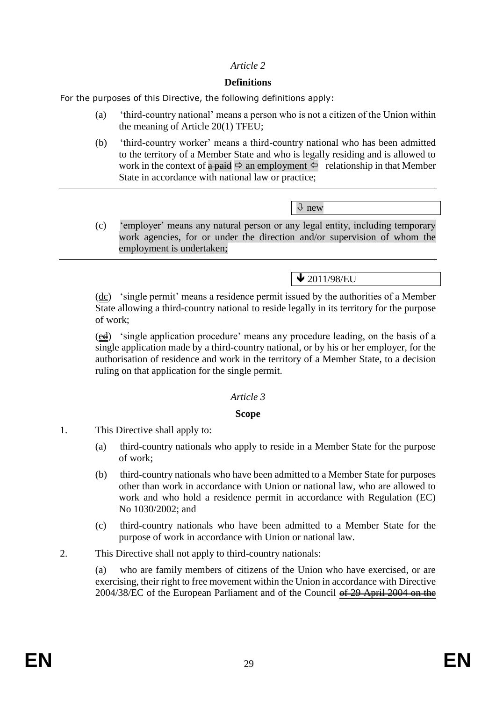### *Article 2*

### **Definitions**

For the purposes of this Directive, the following definitions apply:

- (a) 'third-country national' means a person who is not a citizen of the Union within the meaning of Article 20(1) TFEU;
- (b) 'third-country worker' means a third-country national who has been admitted to the territory of a Member State and who is legally residing and is allowed to work in the context of  $\triangle$  paid  $\Rightarrow$  an employment  $\Leftarrow$  relationship in that Member State in accordance with national law or practice;

new

(c) 'employer' means any natural person or any legal entity, including temporary work agencies, for or under the direction and/or supervision of whom the employment is undertaken;

 $\bigvee$  2011/98/EU

 $(d\mathbf{e})$  'single permit' means a residence permit issued by the authorities of a Member State allowing a third-country national to reside legally in its territory for the purpose of work;

 $(\underline{ed})$  'single application procedure' means any procedure leading, on the basis of a single application made by a third-country national, or by his or her employer, for the authorisation of residence and work in the territory of a Member State, to a decision ruling on that application for the single permit.

#### *Article 3*

#### **Scope**

- 1. This Directive shall apply to:
	- (a) third-country nationals who apply to reside in a Member State for the purpose of work;
	- (b) third-country nationals who have been admitted to a Member State for purposes other than work in accordance with Union or national law, who are allowed to work and who hold a residence permit in accordance with Regulation (EC) No 1030/2002; and
	- (c) third-country nationals who have been admitted to a Member State for the purpose of work in accordance with Union or national law.
- 2. This Directive shall not apply to third-country nationals:

(a) who are family members of citizens of the Union who have exercised, or are exercising, their right to free movement within the Union in accordance with Directive 2004/38/EC of the European Parliament and of the Council of 29 April 2004 on the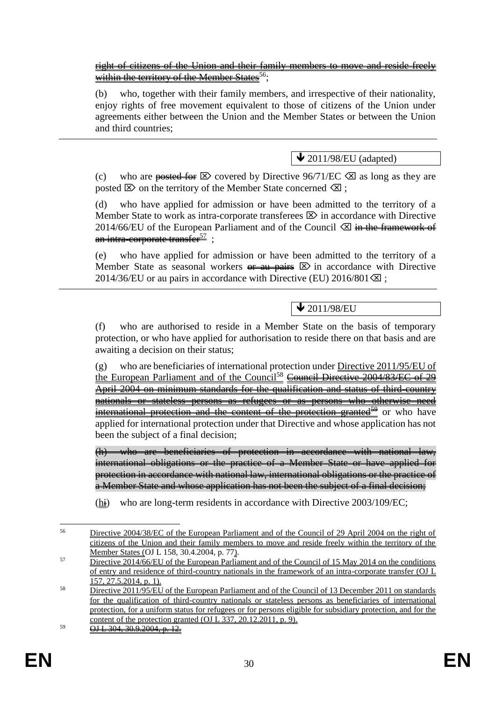right of citizens of the Union and their family members to move and reside freely within the territory of the Member States  $56$ .

(b) who, together with their family members, and irrespective of their nationality, enjoy rights of free movement equivalent to those of citizens of the Union under agreements either between the Union and the Member States or between the Union and third countries;

 $\bigvee$  2011/98/EU (adapted)

(c) who are posted for  $\boxtimes$  covered by Directive 96/71/EC  $\boxtimes$  as long as they are posted  $\boxtimes$  on the territory of the Member State concerned  $\boxtimes$  ;

(d) who have applied for admission or have been admitted to the territory of a Member State to work as intra-corporate transferees  $\boxtimes$  in accordance with Directive 2014/66/EU of the European Parliament and of the Council  $\otimes$  in the framework of an intra-corporate transfer<sup>57</sup>:

(e) who have applied for admission or have been admitted to the territory of a Member State as seasonal workers  $\theta$  and  $\theta$  and  $\theta$  in accordance with Directive 2014/36/EU or au pairs in accordance with Directive (EU) 2016/801 $\Omega$ ;

 $\vee$  2011/98/EU

(f) who are authorised to reside in a Member State on the basis of temporary protection, or who have applied for authorisation to reside there on that basis and are awaiting a decision on their status;

(g) who are beneficiaries of international protection under Directive 2011/95/EU of the European Parliament and of the Council<sup>58</sup> Council Directive 2004/83/EC of 29 April 2004 on minimum standards for the qualification and status of third-country nationals or stateless persons as refugees or as persons who otherwise need international protection and the content of the protection granted<sup>59</sup> or who have applied for international protection under that Directive and whose application has not been the subject of a final decision;

(h) who are beneficiaries of protection in accordance with national law, international obligations or the practice of a Member State or have applied for protection in accordance with national law, international obligations or the practice of a Member State and whose application has not been the subject of a final decision;

 $(h<sub>i</sub>)$  who are long-term residents in accordance with Directive 2003/109/EC;

<sup>56</sup> <sup>56</sup> Directive 2004/38/EC of the European Parliament and of the Council of 29 April 2004 on the right of citizens of the Union and their family members to move and reside freely within the territory of the Member States (OJ L 158, 30.4.2004, p. 77).

<sup>&</sup>lt;sup>57</sup> Directive 2014/66/EU of the European Parliament and of the Council of 15 May 2014 on the conditions of entry and residence of third-country nationals in the framework of an intra-corporate transfer (OJ L 157, 27.5.2014, p. 1).

<sup>&</sup>lt;sup>58</sup> Directive 2011/95/EU of the European Parliament and of the Council of 13 December 2011 on standards for the qualification of third-country nationals or stateless persons as beneficiaries of international protection, for a uniform status for refugees or for persons eligible for subsidiary protection, and for the content of the protection granted (OJ L 337, 20.12.2011, p. 9).

 $\overline{OH \cdot 304.30.9.2004. p. 12.}$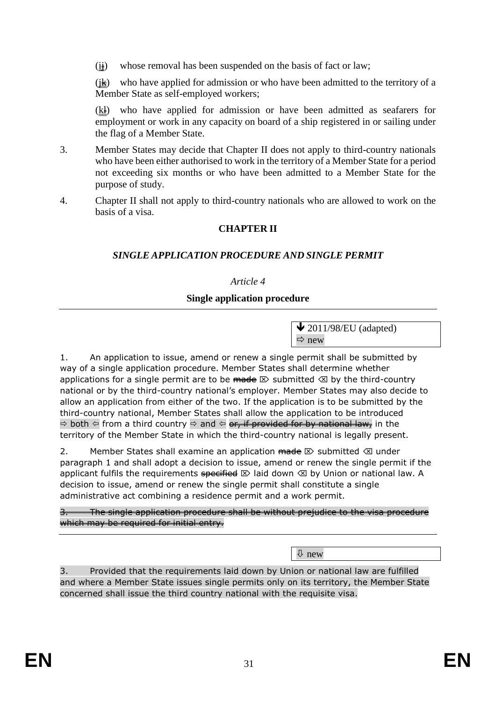$(i<sub>i</sub>)$  whose removal has been suspended on the basis of fact or law;

 $(\frac{1}{k})$  who have applied for admission or who have been admitted to the territory of a Member State as self-employed workers;

 $(k)$  who have applied for admission or have been admitted as seafarers for employment or work in any capacity on board of a ship registered in or sailing under the flag of a Member State.

- 3. Member States may decide that Chapter II does not apply to third-country nationals who have been either authorised to work in the territory of a Member State for a period not exceeding six months or who have been admitted to a Member State for the purpose of study.
- 4. Chapter II shall not apply to third-country nationals who are allowed to work on the basis of a visa.

## **CHAPTER II**

## *SINGLE APPLICATION PROCEDURE AND SINGLE PERMIT*

### *Article 4*

### **Single application procedure**

 $\bigvee$  2011/98/EU (adapted)  $\Rightarrow$  new

1. An application to issue, amend or renew a single permit shall be submitted by way of a single application procedure. Member States shall determine whether applications for a single permit are to be  $\overline{m}$  and  $\infty$  submitted  $\otimes$  by the third-country national or by the third-country national's employer. Member States may also decide to allow an application from either of the two. If the application is to be submitted by the third-country national, Member States shall allow the application to be introduced  $\Rightarrow$  both  $\Leftrightarrow$  from a third country  $\Rightarrow$  and  $\Leftrightarrow$  or, if provided for by national law, in the territory of the Member State in which the third-country national is legally present.

2. Member States shall examine an application  $\theta \otimes \theta$  submitted  $\otimes$  under paragraph 1 and shall adopt a decision to issue, amend or renew the single permit if the applicant fulfils the requirements specified  $\boxtimes$  laid down  $\boxtimes$  by Union or national law. A decision to issue, amend or renew the single permit shall constitute a single administrative act combining a residence permit and a work permit.

The single application procedure shall be without prejudice to the visa procedure which may be required for initial entry.

new

3. Provided that the requirements laid down by Union or national law are fulfilled and where a Member State issues single permits only on its territory, the Member State concerned shall issue the third country national with the requisite visa.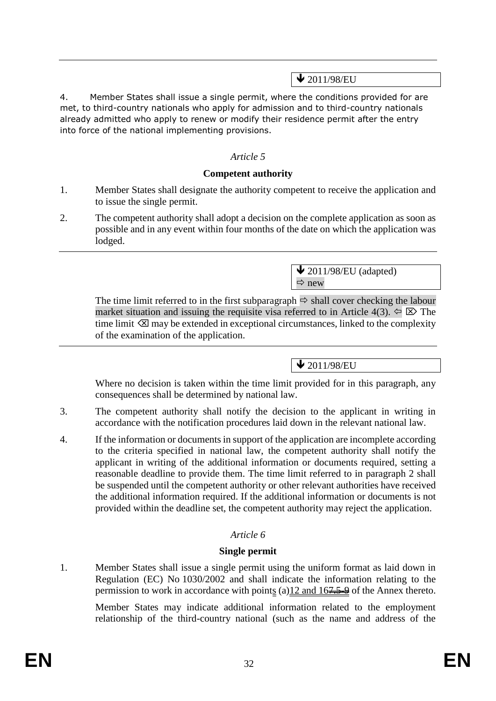# $\bigvee$  2011/98/EU

4. Member States shall issue a single permit, where the conditions provided for are met, to third-country nationals who apply for admission and to third-country nationals already admitted who apply to renew or modify their residence permit after the entry into force of the national implementing provisions.

## *Article 5*

### **Competent authority**

- 1. Member States shall designate the authority competent to receive the application and to issue the single permit.
- 2. The competent authority shall adopt a decision on the complete application as soon as possible and in any event within four months of the date on which the application was lodged.

 $\bigvee$  2011/98/EU (adapted)  $Arr$  new

The time limit referred to in the first subparagraph  $\Rightarrow$  shall cover checking the labour market situation and issuing the requisite visa referred to in Article 4(3).  $\Leftarrow \boxtimes$  The time limit  $\otimes$  may be extended in exceptional circumstances, linked to the complexity of the examination of the application.

 $\sqrt{2011/98/EU}$ 

Where no decision is taken within the time limit provided for in this paragraph, any consequences shall be determined by national law.

- 3. The competent authority shall notify the decision to the applicant in writing in accordance with the notification procedures laid down in the relevant national law.
- 4. If the information or documents in support of the application are incomplete according to the criteria specified in national law, the competent authority shall notify the applicant in writing of the additional information or documents required, setting a reasonable deadline to provide them. The time limit referred to in paragraph 2 shall be suspended until the competent authority or other relevant authorities have received the additional information required. If the additional information or documents is not provided within the deadline set, the competent authority may reject the application.

## *Article 6*

## **Single permit**

1. Member States shall issue a single permit using the uniform format as laid down in Regulation (EC) No 1030/2002 and shall indicate the information relating to the permission to work in accordance with points (a)12 and 167.5-9 of the Annex thereto.

Member States may indicate additional information related to the employment relationship of the third-country national (such as the name and address of the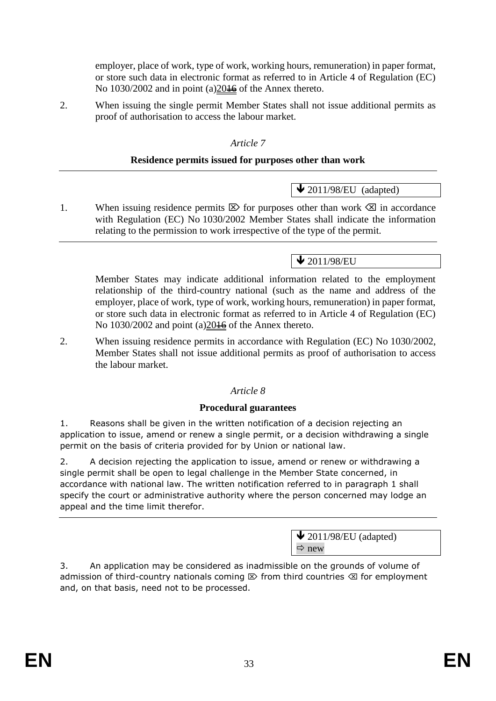employer, place of work, type of work, working hours, remuneration) in paper format, or store such data in electronic format as referred to in Article 4 of Regulation (EC) No 1030/2002 and in point (a) 20<del>16</del> of the Annex thereto.

2. When issuing the single permit Member States shall not issue additional permits as proof of authorisation to access the labour market.

### *Article 7*

### **Residence permits issued for purposes other than work**

1. When issuing residence permits  $\boxtimes$  for purposes other than work  $\boxtimes$  in accordance with Regulation (EC) No 1030/2002 Member States shall indicate the information relating to the permission to work irrespective of the type of the permit.

# $\bigvee$  2011/98/EU

 $\triangle$  2011/98/EU (adapted)

Member States may indicate additional information related to the employment relationship of the third-country national (such as the name and address of the employer, place of work, type of work, working hours, remuneration) in paper format, or store such data in electronic format as referred to in Article 4 of Regulation (EC) No 1030/2002 and point (a) $20\frac{1}{6}$  of the Annex thereto.

2. When issuing residence permits in accordance with Regulation (EC) No 1030/2002, Member States shall not issue additional permits as proof of authorisation to access the labour market.

## *Article 8*

#### **Procedural guarantees**

1. Reasons shall be given in the written notification of a decision rejecting an application to issue, amend or renew a single permit, or a decision withdrawing a single permit on the basis of criteria provided for by Union or national law.

2. A decision rejecting the application to issue, amend or renew or withdrawing a single permit shall be open to legal challenge in the Member State concerned, in accordance with national law. The written notification referred to in paragraph 1 shall specify the court or administrative authority where the person concerned may lodge an appeal and the time limit therefor.

> $\bigvee$  2011/98/EU (adapted)  $\Rightarrow$  new

3. An application may be considered as inadmissible on the grounds of volume of admission of third-country nationals coming  $\mathbb D$  from third countries  $\mathbb Z$  for employment and, on that basis, need not to be processed.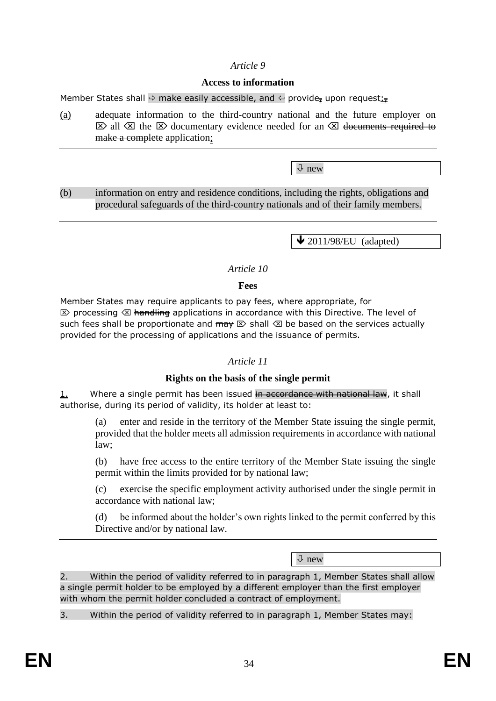### *Article 9*

#### **Access to information**

Member States shall  $\Rightarrow$  make easily accessible, and  $\Leftarrow$  provide, upon request:

(a) adequate information to the third-country national and the future employer on  $\boxtimes$  all  $\boxtimes$  the  $\boxtimes$  documentary evidence needed for an  $\boxtimes$  documents required to make a complete application;

 $\overline{\psi}$  new

(b) information on entry and residence conditions, including the rights, obligations and procedural safeguards of the third-country nationals and of their family members.

 $\bigvee$  2011/98/EU (adapted)

#### *Article 10*

#### **Fees**

Member States may require applicants to pay fees, where appropriate, for  $\otimes$  processing  $\otimes$  handling applications in accordance with this Directive. The level of such fees shall be proportionate and  $\overrightarrow{m}$   $\otimes$  shall  $\otimes$  be based on the services actually provided for the processing of applications and the issuance of permits.

#### *Article 11*

#### **Rights on the basis of the single permit**

1. Where a single permit has been issued in accordance with national law, it shall authorise, during its period of validity, its holder at least to:

(a) enter and reside in the territory of the Member State issuing the single permit, provided that the holder meets all admission requirements in accordance with national law;

(b) have free access to the entire territory of the Member State issuing the single permit within the limits provided for by national law;

(c) exercise the specific employment activity authorised under the single permit in accordance with national law;

(d) be informed about the holder's own rights linked to the permit conferred by this Directive and/or by national law.

new

2. Within the period of validity referred to in paragraph 1, Member States shall allow a single permit holder to be employed by a different employer than the first employer with whom the permit holder concluded a contract of employment.

3. Within the period of validity referred to in paragraph 1, Member States may: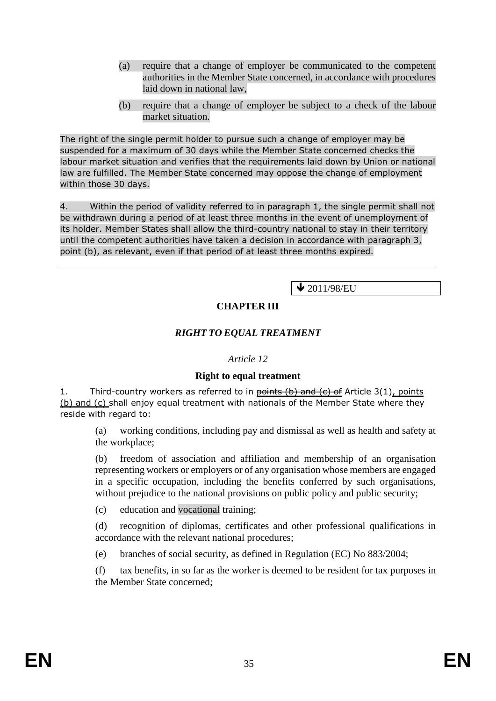- (a) require that a change of employer be communicated to the competent authorities in the Member State concerned, in accordance with procedures laid down in national law,
- (b) require that a change of employer be subject to a check of the labour market situation.

The right of the single permit holder to pursue such a change of employer may be suspended for a maximum of 30 days while the Member State concerned checks the labour market situation and verifies that the requirements laid down by Union or national law are fulfilled. The Member State concerned may oppose the change of employment within those 30 days.

4. Within the period of validity referred to in paragraph 1, the single permit shall not be withdrawn during a period of at least three months in the event of unemployment of its holder. Member States shall allow the third-country national to stay in their territory until the competent authorities have taken a decision in accordance with paragraph 3, point (b), as relevant, even if that period of at least three months expired.

 $\sqrt{2011/98/EU}$ 

## **CHAPTER III**

## *RIGHT TO EQUAL TREATMENT*

#### *Article 12*

#### **Right to equal treatment**

1. Third-country workers as referred to in  $\frac{\pi}{100}$  and  $\frac{\pi}{100}$  and  $\frac{\pi}{100}$  and  $\frac{\pi}{100}$  and  $\frac{\pi}{100}$ (b) and (c) shall enjoy equal treatment with nationals of the Member State where they reside with regard to:

(a) working conditions, including pay and dismissal as well as health and safety at the workplace;

(b) freedom of association and affiliation and membership of an organisation representing workers or employers or of any organisation whose members are engaged in a specific occupation, including the benefits conferred by such organisations, without prejudice to the national provisions on public policy and public security;

(c) education and vocational training;

(d) recognition of diplomas, certificates and other professional qualifications in accordance with the relevant national procedures;

(e) branches of social security, as defined in Regulation (EC) No 883/2004;

(f) tax benefits, in so far as the worker is deemed to be resident for tax purposes in the Member State concerned;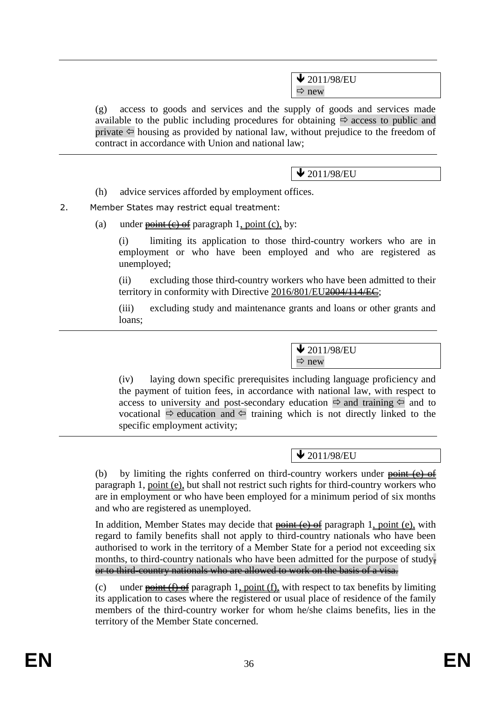$\bigvee$  2011/98/EU  $Arr$  new

(g) access to goods and services and the supply of goods and services made available to the public including procedures for obtaining  $\Rightarrow$  access to public and private  $\Leftarrow$  housing as provided by national law, without prejudice to the freedom of contract in accordance with Union and national law;

 $\bigvee$  2011/98/EU

(h) advice services afforded by employment offices.

2. Member States may restrict equal treatment:

(a) under  $\frac{\text{point}(\text{c}) \cdot \text{of}}{\text{point}(\text{c})}$  by:

(i) limiting its application to those third-country workers who are in employment or who have been employed and who are registered as unemployed;

(ii) excluding those third-country workers who have been admitted to their territory in conformity with Directive 2016/801/EU<del>2004/114/EC</del>;

(iii) excluding study and maintenance grants and loans or other grants and loans;

> $\blacktriangleright$  2011/98/EU  $\Rightarrow$  new

(iv) laying down specific prerequisites including language proficiency and the payment of tuition fees, in accordance with national law, with respect to access to university and post-secondary education  $\Rightarrow$  and training  $\Leftarrow$  and to vocational  $\Rightarrow$  education and  $\Leftarrow$  training which is not directly linked to the specific employment activity;

 $\bigvee$  2011/98/EU

(b) by limiting the rights conferred on third-country workers under  $\frac{\theta}{\theta}$  =  $\frac{\theta}{\theta}$ paragraph 1, point (e), but shall not restrict such rights for third-country workers who are in employment or who have been employed for a minimum period of six months and who are registered as unemployed.

In addition, Member States may decide that  $\frac{\text{point}}{\text{left}}$  (e)  $\frac{\text{of}}{\text{left}}$  paragraph 1, point (e), with regard to family benefits shall not apply to third-country nationals who have been authorised to work in the territory of a Member State for a period not exceeding six months, to third-country nationals who have been admitted for the purpose of study, or to third-country nationals who are allowed to work on the basis of a visa.

(c) under  $\frac{\text{point}(\text{f}) \cdot \text{of}}{\text{partial}}$  paragraph 1, point (f), with respect to tax benefits by limiting its application to cases where the registered or usual place of residence of the family members of the third-country worker for whom he/she claims benefits, lies in the territory of the Member State concerned.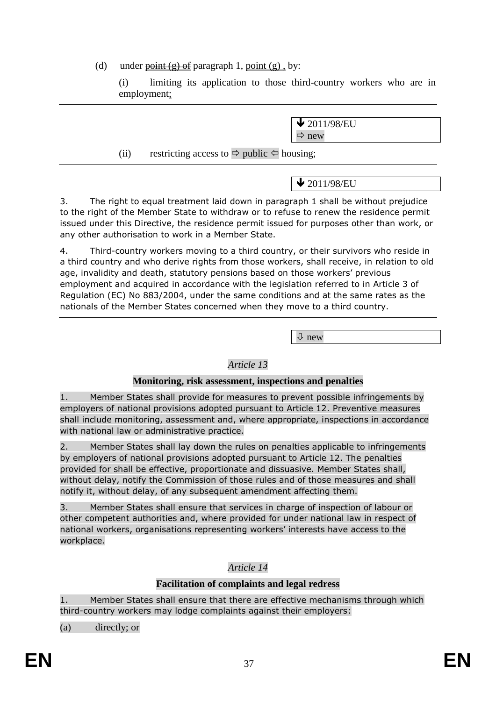(d) under  $\frac{\text{point}(\text{g})}{\text{off}}$  paragraph 1, point (g), by:

(i) limiting its application to those third-country workers who are in employment;

> $\bigvee$  2011/98/EU  $\Rightarrow$  new

(ii) restricting access to  $\Rightarrow$  public  $\Leftarrow$  housing;

 $\bigvee$  2011/98/EU

3. The right to equal treatment laid down in paragraph 1 shall be without prejudice to the right of the Member State to withdraw or to refuse to renew the residence permit issued under this Directive, the residence permit issued for purposes other than work, or any other authorisation to work in a Member State.

4. Third-country workers moving to a third country, or their survivors who reside in a third country and who derive rights from those workers, shall receive, in relation to old age, invalidity and death, statutory pensions based on those workers' previous employment and acquired in accordance with the legislation referred to in Article 3 of Regulation (EC) No 883/2004, under the same conditions and at the same rates as the nationals of the Member States concerned when they move to a third country.

 $\sqrt{2}$  new

## *Article 13*

## **Monitoring, risk assessment, inspections and penalties**

1. Member States shall provide for measures to prevent possible infringements by employers of national provisions adopted pursuant to Article 12. Preventive measures shall include monitoring, assessment and, where appropriate, inspections in accordance with national law or administrative practice.

2. Member States shall lay down the rules on penalties applicable to infringements by employers of national provisions adopted pursuant to Article 12. The penalties provided for shall be effective, proportionate and dissuasive. Member States shall, without delay, notify the Commission of those rules and of those measures and shall notify it, without delay, of any subsequent amendment affecting them.

3. Member States shall ensure that services in charge of inspection of labour or other competent authorities and, where provided for under national law in respect of national workers, organisations representing workers' interests have access to the workplace.

## *Article 14*

## **Facilitation of complaints and legal redress**

1. Member States shall ensure that there are effective mechanisms through which third-country workers may lodge complaints against their employers:

(a) directly; or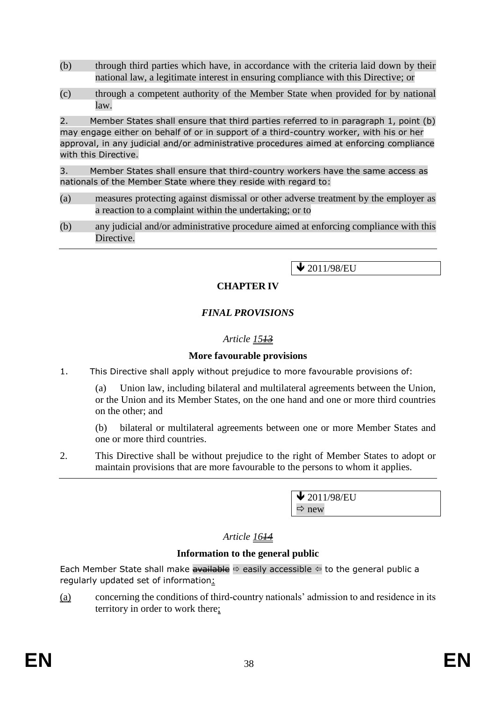- (b) through third parties which have, in accordance with the criteria laid down by their national law, a legitimate interest in ensuring compliance with this Directive; or
- (c) through a competent authority of the Member State when provided for by national law.

2. Member States shall ensure that third parties referred to in paragraph 1, point (b) may engage either on behalf of or in support of a third-country worker, with his or her approval, in any judicial and/or administrative procedures aimed at enforcing compliance with this Directive.

3. Member States shall ensure that third-country workers have the same access as nationals of the Member State where they reside with regard to:

- (a) measures protecting against dismissal or other adverse treatment by the employer as a reaction to a complaint within the undertaking; or to
- (b) any judicial and/or administrative procedure aimed at enforcing compliance with this Directive.

 $\bigvee$  2011/98/EU

## **CHAPTER IV**

## *FINAL PROVISIONS*

## *Article 1513*

### **More favourable provisions**

1. This Directive shall apply without prejudice to more favourable provisions of:

(a) Union law, including bilateral and multilateral agreements between the Union, or the Union and its Member States, on the one hand and one or more third countries on the other; and

(b) bilateral or multilateral agreements between one or more Member States and one or more third countries.

2. This Directive shall be without prejudice to the right of Member States to adopt or maintain provisions that are more favourable to the persons to whom it applies.

> $\sqrt{2011/98/EU}$  $\Rightarrow$  new

## *Article 1614*

#### **Information to the general public**

Each Member State shall make available  $\Leftrightarrow$  easily accessible  $\Leftrightarrow$  to the general public a regularly updated set of information:

(a) concerning the conditions of third-country nationals' admission to and residence in its territory in order to work there;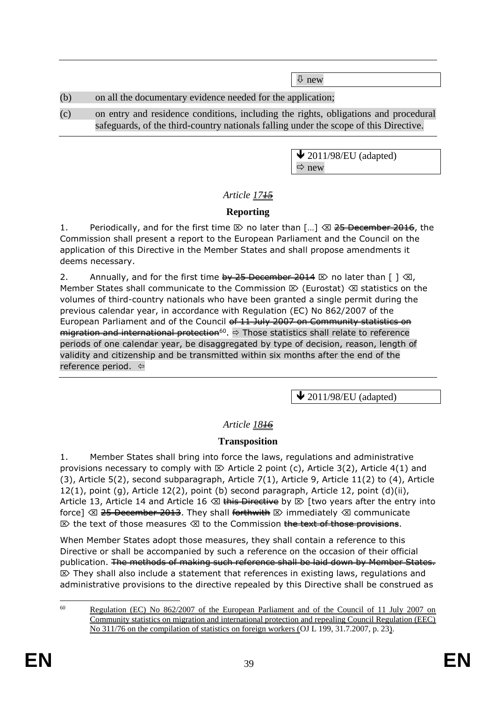$\sqrt{2}$  new

## (b) on all the documentary evidence needed for the application;

(c) on entry and residence conditions, including the rights, obligations and procedural safeguards, of the third-country nationals falling under the scope of this Directive.

> $\bigvee$  2011/98/EU (adapted)  $\Rightarrow$  new

# *Article 1715*

# **Reporting**

1. Periodically, and for the first time  $\boxtimes$  no later than  $\lceil ... \rceil$   $\otimes$  25 December 2016, the Commission shall present a report to the European Parliament and the Council on the application of this Directive in the Member States and shall propose amendments it deems necessary.

2. Annually, and for the first time  $\frac{1}{2}$  December 2014  $\infty$  no later than  $\lceil \frac{1}{2} \sqrt{2} \rceil$ , Member States shall communicate to the Commission  $\mathbb{E}$  (Eurostat)  $\mathbb{E}$  statistics on the volumes of third-country nationals who have been granted a single permit during the previous calendar year, in accordance with Regulation (EC) No 862/2007 of the European Parliament and of the Council of 11 July 2007 on Community statistics on <del>migration and international protection</del><sup>60</sup>. ⇒ Those statistics shall relate to reference periods of one calendar year, be disaggregated by type of decision, reason, length of validity and citizenship and be transmitted within six months after the end of the reference period.  $\Leftrightarrow$ 

 $\blacktriangleright$  2011/98/EU (adapted)

# *Article 1816*

# **Transposition**

1. Member States shall bring into force the laws, regulations and administrative provisions necessary to comply with  $\boxtimes$  Article 2 point (c), Article 3(2), Article 4(1) and (3), Article 5(2), second subparagraph, Article 7(1), Article 9, Article 11(2) to (4), Article  $12(1)$ , point (g), Article  $12(2)$ , point (b) second paragraph, Article 12, point (d)(ii), Article 13, Article 14 and Article 16  $\otimes$  this Directive by  $\otimes$  [two years after the entry into force]  $\otimes$  25 December 2013. They shall forthwith  $\otimes$  immediately  $\otimes$  communicate  $\otimes$  the text of those measures  $\otimes$  to the Commission the text of those provisions.

When Member States adopt those measures, they shall contain a reference to this Directive or shall be accompanied by such a reference on the occasion of their official publication. The methods of making such reference shall be laid down by Member States.  $\mathbb{Z}$  They shall also include a statement that references in existing laws, regulations and administrative provisions to the directive repealed by this Directive shall be construed as

<sup>60</sup> <sup>60</sup> Regulation (EC) No 862/2007 of the European Parliament and of the Council of 11 July 2007 on Community statistics on migration and international protection and repealing Council Regulation (EEC) No 311/76 on the compilation of statistics on foreign workers (OJ L 199, 31.7.2007, p. 23).